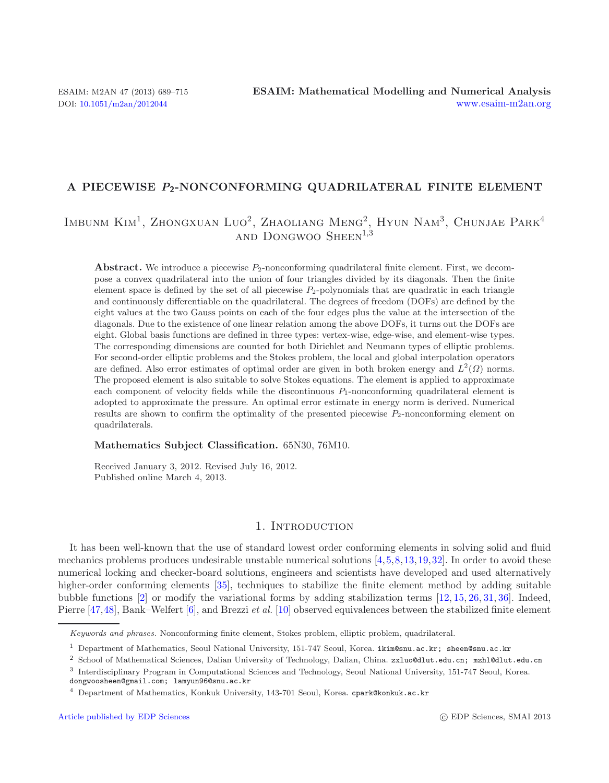## **A PIECEWISE** *P***2-NONCONFORMING QUADRILATERAL FINITE ELEMENT**

# Imbunm Kim1, Zhongxuan Luo2, Zhaoliang Meng2, Hyun Nam3, Chunjae Park<sup>4</sup> and Dongwoo Sheen<sup>1</sup>*,*<sup>3</sup>

**Abstract.** We introduce a piecewise  $P_2$ -nonconforming quadrilateral finite element. First, we decompose a convex quadrilateral into the union of four triangles divided by its diagonals. Then the finite element space is defined by the set of all piecewise  $P_2$ -polynomials that are quadratic in each triangle and continuously differentiable on the quadrilateral. The degrees of freedom (DOFs) are defined by the eight values at the two Gauss points on each of the four edges plus the value at the intersection of the diagonals. Due to the existence of one linear relation among the above DOFs, it turns out the DOFs are eight. Global basis functions are defined in three types: vertex-wise, edge-wise, and element-wise types. The corresponding dimensions are counted for both Dirichlet and Neumann types of elliptic problems. For second-order elliptic problems and the Stokes problem, the local and global interpolation operators are defined. Also error estimates of optimal order are given in both broken energy and  $L^2(\Omega)$  norms. The proposed element is also suitable to solve Stokes equations. The element is applied to approximate each component of velocity fields while the discontinuous  $P_1$ -nonconforming quadrilateral element is adopted to approximate the pressure. An optimal error estimate in energy norm is derived. Numerical results are shown to confirm the optimality of the presented piecewise  $P_2$ -nonconforming element on quadrilaterals.

#### **Mathematics Subject Classification.** 65N30, 76M10.

Received January 3, 2012. Revised July 16, 2012. Published online March 4, 2013.

## 1. INTRODUCTION

It has been well-known that the use of standard lowest order conforming elements in solving solid and fluid mechanics problems produces undesirable unstable numerical solutions [\[4,](#page-24-0)[5,](#page-24-1)[8](#page-25-0)[,13,](#page-25-1)[19](#page-25-2)[,32\]](#page-25-3). In order to avoid these numerical locking and checker-board solutions, engineers and scientists have developed and used alternatively higher-order conforming elements [\[35](#page-25-4)], techniques to stabilize the finite element method by adding suitable bubble functions [\[2\]](#page-24-2) or modify the variational forms by adding stabilization terms [\[12](#page-25-5), [15,](#page-25-6) [26](#page-25-7), [31,](#page-25-8) [36](#page-25-9)]. Indeed, Pierre [\[47](#page-26-0)[,48\]](#page-26-1), Bank–Welfert [\[6](#page-24-3)], and Brezzi *et al.* [\[10\]](#page-25-10) observed equivalences between the stabilized finite element

Keywords and phrases. Nonconforming finite element, Stokes problem, elliptic problem, quadrilateral.

<sup>&</sup>lt;sup>1</sup> Department of Mathematics, Seoul National University, 151-747 Seoul, Korea. ikim@snu.ac.kr; sheen@snu.ac.kr

<sup>2</sup> School of Mathematical Sciences, Dalian University of Technology, Dalian, China. zxluo@dlut.edu.cn; mzhl@dlut.edu.cn

<sup>3</sup> Interdisciplinary Program in Computational Sciences and Technology, Seoul National University, 151-747 Seoul, Korea. dongwoosheen@gmail.com; lamyun96@snu.ac.kr

<sup>4</sup> Department of Mathematics, Konkuk University, 143-701 Seoul, Korea. cpark@konkuk.ac.kr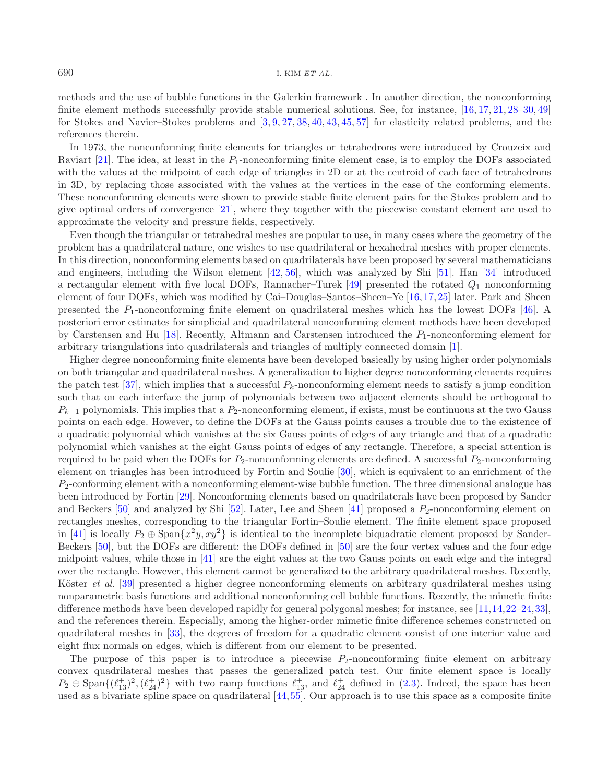methods and the use of bubble functions in the Galerkin framework . In another direction, the nonconforming finite element methods successfully provide stable numerical solutions. See, for instance, [\[16,](#page-25-11) [17,](#page-25-12) [21](#page-25-13), [28](#page-25-14)[–30,](#page-25-15) [49\]](#page-26-2) for Stokes and Navier–Stokes problems and [\[3,](#page-24-4) [9](#page-25-16), [27,](#page-25-17) [38](#page-25-18), [40,](#page-25-19) [43](#page-26-3), [45,](#page-26-4) [57](#page-26-5)] for elasticity related problems, and the references therein.

In 1973, the nonconforming finite elements for triangles or tetrahedrons were introduced by Crouzeix and Raviart [\[21\]](#page-25-13). The idea, at least in the  $P_1$ -nonconforming finite element case, is to employ the DOFs associated with the values at the midpoint of each edge of triangles in 2D or at the centroid of each face of tetrahedrons in 3D, by replacing those associated with the values at the vertices in the case of the conforming elements. These nonconforming elements were shown to provide stable finite element pairs for the Stokes problem and to give optimal orders of convergence [\[21\]](#page-25-13), where they together with the piecewise constant element are used to approximate the velocity and pressure fields, respectively.

Even though the triangular or tetrahedral meshes are popular to use, in many cases where the geometry of the problem has a quadrilateral nature, one wishes to use quadrilateral or hexahedral meshes with proper elements. In this direction, nonconforming elements based on quadrilaterals have been proposed by several mathematicians and engineers, including the Wilson element [\[42](#page-26-6), [56\]](#page-26-7), which was analyzed by Shi [\[51\]](#page-26-8). Han [\[34\]](#page-25-20) introduced a rectangular element with five local DOFs, Rannacher–Turek [\[49](#page-26-2)] presented the rotated  $Q_1$  nonconforming element of four DOFs, which was modified by Cai–Douglas–Santos–Sheen–Ye [\[16,](#page-25-11)[17](#page-25-12),[25\]](#page-25-21) later. Park and Sheen presented the  $P_1$ -nonconforming finite element on quadrilateral meshes which has the lowest DOFs [\[46](#page-26-9)]. A posteriori error estimates for simplicial and quadrilateral nonconforming element methods have been developed by Carstensen and Hu  $[18]$  $[18]$ . Recently, Altmann and Carstensen introduced the  $P_1$ -nonconforming element for arbitrary triangulations into quadrilaterals and triangles of multiply connected domain [\[1\]](#page-24-5).

Higher degree nonconforming finite elements have been developed basically by using higher order polynomials on both triangular and quadrilateral meshes. A generalization to higher degree nonconforming elements requires the patch test [\[37\]](#page-25-23), which implies that a successful  $P_k$ -nonconforming element needs to satisfy a jump condition such that on each interface the jump of polynomials between two adjacent elements should be orthogonal to  $P_{k-1}$  polynomials. This implies that a  $P_2$ -nonconforming element, if exists, must be continuous at the two Gauss points on each edge. However, to define the DOFs at the Gauss points causes a trouble due to the existence of a quadratic polynomial which vanishes at the six Gauss points of edges of any triangle and that of a quadratic polynomial which vanishes at the eight Gauss points of edges of any rectangle. Therefore, a special attention is required to be paid when the DOFs for  $P_2$ -nonconforming elements are defined. A successful  $P_2$ -nonconforming element on triangles has been introduced by Fortin and Soulie [\[30\]](#page-25-15), which is equivalent to an enrichment of the  $P_2$ -conforming element with a nonconforming element-wise bubble function. The three dimensional analogue has been introduced by Fortin [\[29\]](#page-25-24). Nonconforming elements based on quadrilaterals have been proposed by Sander and Beckers  $[50]$  and analyzed by Shi  $[52]$  $[52]$ . Later, Lee and Sheen  $[41]$  proposed a  $P_2$ -nonconforming element on rectangles meshes, corresponding to the triangular Fortin–Soulie element. The finite element space proposed in [\[41\]](#page-25-25) is locally  $P_2 \oplus \text{Span}\{x^2y, xy^2\}$  is identical to the incomplete biquadratic element proposed by Sander-Beckers [\[50\]](#page-26-10), but the DOFs are different: the DOFs defined in [\[50](#page-26-10)] are the four vertex values and the four edge midpoint values, while those in [\[41](#page-25-25)] are the eight values at the two Gauss points on each edge and the integral over the rectangle. However, this element cannot be generalized to the arbitrary quadrilateral meshes. Recently, Köster *et al.* [\[39](#page-25-26)] presented a higher degree nonconforming elements on arbitrary quadrilateral meshes using nonparametric basis functions and additional nonconforming cell bubble functions. Recently, the mimetic finite difference methods have been developed rapidly for general polygonal meshes; for instance, see [\[11](#page-25-27)[,14](#page-25-28),[22](#page-25-29)[–24](#page-25-30)[,33](#page-25-31)], and the references therein. Especially, among the higher-order mimetic finite difference schemes constructed on quadrilateral meshes in [\[33\]](#page-25-31), the degrees of freedom for a quadratic element consist of one interior value and eight flux normals on edges, which is different from our element to be presented.

The purpose of this paper is to introduce a piecewise  $P_2$ -nonconforming finite element on arbitrary convex quadrilateral meshes that passes the generalized patch test. Our finite element space is locally  $P_2 \oplus \text{Span}\{(\ell_{13}^+)^2, (\ell_{13}^+)^2\}$  $\ell_{24}^{+}$  )<sup>2</sup>} with two ramp functions  $\ell$ <br>spline space on quadrilateral [*A*, 5]  $\ell_{13}^+$ , and  $\ell_{24}^+$  defined in [\(2.3\)](#page-3-0). Indeed, the space has been<br>55. Our approach is to use this space as a composite finite used as a bivariate spline space on quadrilateral [\[44](#page-26-12),[55\]](#page-26-13). Our approach is to use this space as a composite finite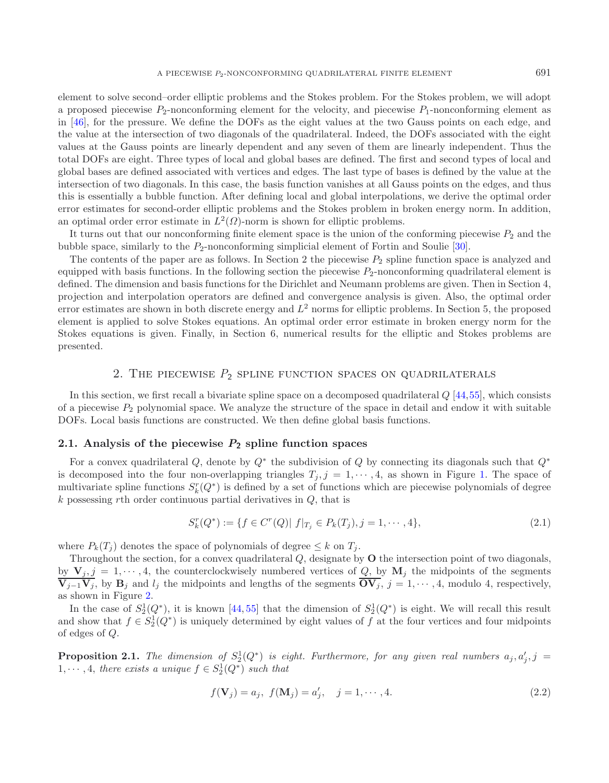element to solve second–order elliptic problems and the Stokes problem. For the Stokes problem, we will adopt a proposed piecewise  $P_2$ -nonconforming element for the velocity, and piecewise  $P_1$ -nonconforming element as in [\[46\]](#page-26-9), for the pressure. We define the DOFs as the eight values at the two Gauss points on each edge, and the value at the intersection of two diagonals of the quadrilateral. Indeed, the DOFs associated with the eight values at the Gauss points are linearly dependent and any seven of them are linearly independent. Thus the total DOFs are eight. Three types of local and global bases are defined. The first and second types of local and global bases are defined associated with vertices and edges. The last type of bases is defined by the value at the intersection of two diagonals. In this case, the basis function vanishes at all Gauss points on the edges, and thus this is essentially a bubble function. After defining local and global interpolations, we derive the optimal order error estimates for second-order elliptic problems and the Stokes problem in broken energy norm. In addition,

It turns out that our nonconforming finite element space is the union of the conforming piecewise  $P_2$  and the bubble space, similarly to the  $P_2$ -nonconforming simplicial element of Fortin and Soulie [\[30\]](#page-25-15).

The contents of the paper are as follows. In Section 2 the piecewise  $P_2$  spline function space is analyzed and equipped with basis functions. In the following section the piecewise  $P_2$ -nonconforming quadrilateral element is defined. The dimension and basis functions for the Dirichlet and Neumann problems are given. Then in Section 4, projection and interpolation operators are defined and convergence analysis is given. Also, the optimal order error estimates are shown in both discrete energy and  $L^2$  norms for elliptic problems. In Section 5, the proposed element is applied to solve Stokes equations. An optimal order error estimate in broken energy norm for the Stokes equations is given. Finally, in Section 6, numerical results for the elliptic and Stokes problems are presented.

## 2. THE PIECEWISE  $P_2$  SPLINE FUNCTION SPACES ON QUADRILATERALS

In this section, we first recall a bivariate spline space on a decomposed quadrilateral  $Q$  [\[44](#page-26-12)[,55\]](#page-26-13), which consists of a piecewise  $P_2$  polynomial space. We analyze the structure of the space in detail and endow it with suitable DOFs. Local basis functions are constructed. We then define global basis functions.

#### **2.1. Analysis of the piecewise** *P***<sup>2</sup> spline function spaces**

an optimal order error estimate in  $L^2(\Omega)$ -norm is shown for elliptic problems.

For a convex quadrilateral Q, denote by  $Q^*$  the subdivision of Q by connecting its diagonals such that  $Q^*$ is decomposed into the four non-overlapping triangles  $T_j$ ,  $j = 1, \dots, 4$ , as shown in Figure [1.](#page-3-1) The space of multivariate spline functions  $S_k^r(Q^*)$  is defined by a set of functions which are piecewise polynomials of degree  $k$  possessing rth order continuous partial derivatives in  $Q$  that is  $k$  possessing rth order continuous partial derivatives in  $Q$ , that is

$$
S_k^r(Q^*) := \{ f \in C^r(Q) | f|_{T_j} \in P_k(T_j), j = 1, \cdots, 4 \},\tag{2.1}
$$

where  $P_k(T_i)$  denotes the space of polynomials of degree  $\leq k$  on  $T_i$ .

Throughout the section, for a convex quadrilateral Q, designate by **<sup>O</sup>** the intersection point of two diagonals, by  $\mathbf{V}_j, j = 1, \dots, 4$ , the counterclockwisely numbered vertices of Q, by  $\mathbf{M}_j$  the midpoints of the segments  $\overline{\mathbf{V}_{j-1}\mathbf{V}_j}$ , by  $\mathbf{B}_j$  and  $l_j$  the midpoints and lengths of the segments  $\overline{\mathbf{OV}_j}$ ,  $j = 1, \dots, 4$ , modulo 4, respectively, as shown in Figure [2.](#page-3-2)

In the case of  $S_2^1(Q^*)$ , it is known [\[44](#page-26-12),[55](#page-26-13)] that the dimension of  $S_2^1(Q^*)$  is eight. We will recall this result<br>d show that  $f \in S_2^1(O^*)$  is uniquely determined by eight values of  $f$  at the four vertices and four mi and show that  $f \in S_2^1(Q^*)$  is uniquely determined by eight values of f at the four vertices and four midpoints of edges of O of edges of Q.

<span id="page-2-0"></span>**Proposition 2.1.** The dimension of  $S_2^1(Q^*)$  is eight. Furthermore, for any given real numbers  $a_j, a'_j, j = 1, \ldots, 4$  there exists a unique  $f \in S^1(Q^*)$  such that 1,  $\cdots$ , 4, *there exists a unique*  $f \in S_2^1(Q^*)$  *such that* 

$$
f(\mathbf{V}_j) = a_j, \ f(\mathbf{M}_j) = a'_j, \quad j = 1, \cdots, 4.
$$
 (2.2)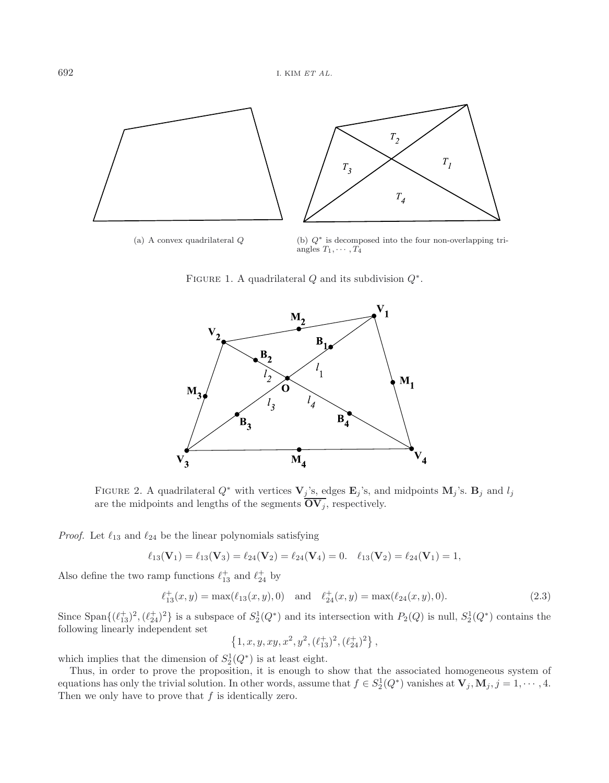<span id="page-3-1"></span>

(a) A convex quadrilateral *Q* (b) *Q*∗ is decomposed into the four non-overlapping triangles  $T_1, \cdots, T_4$ 

FIGURE 1. A quadrilateral  $Q$  and its subdivision  $Q^*$ .

<span id="page-3-2"></span><span id="page-3-0"></span>

FIGURE 2. A quadrilateral  $Q^*$  with vertices  $\mathbf{V}_j$ 's, edges  $\mathbf{E}_j$ 's, and midpoints  $\mathbf{M}_j$ 's.  $\mathbf{B}_j$  and  $l_j$ are the midpoints and lengths of the segments  $\overline{OV_j}$ , respectively.

*Proof.* Let  $\ell_{13}$  and  $\ell_{24}$  be the linear polynomials satisfying

$$
\ell_{13}(\mathbf{V}_1) = \ell_{13}(\mathbf{V}_3) = \ell_{24}(\mathbf{V}_2) = \ell_{24}(\mathbf{V}_4) = 0. \quad \ell_{13}(\mathbf{V}_2) = \ell_{24}(\mathbf{V}_1) = 1,
$$

Also define the two ramp functions  $\ell_{13}^+$  and  $\ell_{24}^+$  by

$$
\ell_{13}^+(x,y) = \max(\ell_{13}(x,y),0) \quad \text{and} \quad \ell_{24}^+(x,y) = \max(\ell_{24}(x,y),0). \tag{2.3}
$$

Since  $\text{Span}\{(\ell_{13}^+)^2, (\ell_{13}^+)^2\}$  $\ell_{24}^{+1}$ )<sup>2</sup>} is a subspace of  $S_2^1(Q^*)$  and its intersection with  $P_2(Q)$  is null,  $S_2^1(Q^*)$  contains the dependent set following linearly independent set

$$
\{1, x, y, xy, x^2, y^2, (\ell_{13}^+)^2, (\ell_{24}^+)^2\},\
$$

which implies that the dimension of  $S_2^1(Q^*)$  is at least eight.<br>Thus in order to prove the proposition it is enough to

Thus, in order to prove the proposition, it is enough to show that the associated homogeneous system of equations has only the trivial solution. In other words, assume that  $f \in S_2^1(Q^*)$  vanishes at  $\mathbf{V}_j, \mathbf{M}_j, j = 1, \dots, 4$ .<br>Then we only have to prove that f is identically zero Then we only have to prove that  $f$  is identically zero.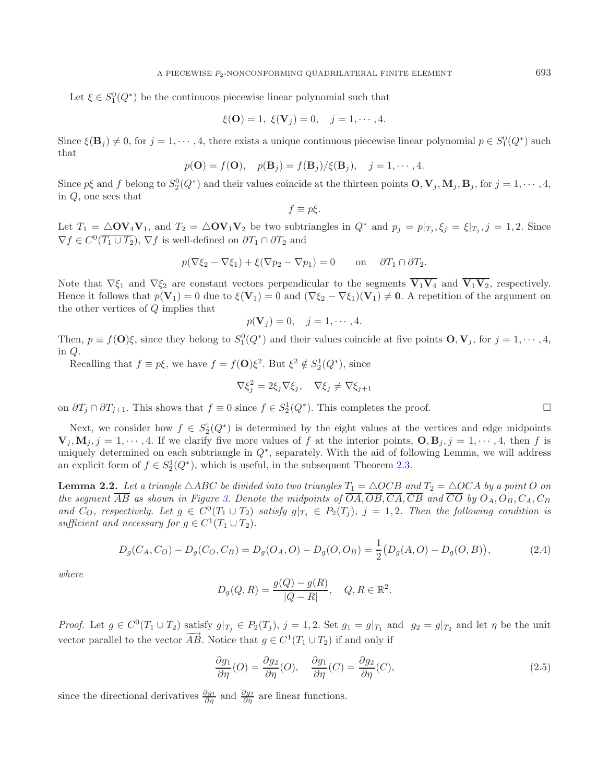Let  $\xi \in S_1^0(Q^*)$  be the continuous piecewise linear polynomial such that

$$
\xi(\mathbf{O}) = 1, \ \xi(\mathbf{V}_j) = 0, \quad j = 1, \cdots, 4.
$$

Since  $\xi(\mathbf{B}_j) \neq 0$ , for  $j = 1, \dots, 4$ , there exists a unique continuous piecewise linear polynomial  $p \in S_1^0(Q^*)$  such that that

$$
p(\mathbf{O}) = f(\mathbf{O}), \quad p(\mathbf{B}_j) = f(\mathbf{B}_j) / \xi(\mathbf{B}_j), \quad j = 1, \cdots, 4.
$$

Since  $p\xi$  and f belong to  $S_2^0(Q^*)$  and their values coincide at the thirteen points  $\mathbf{O}, \mathbf{V}_j, \mathbf{M}_j, \mathbf{B}_j$ , for  $j = 1, \dots, 4$ , in  $\Omega$  one sees that in Q, one sees that

$$
f\equiv p\xi.
$$

Let  $T_1 = \Delta O V_4 V_1$ , and  $T_2 = \Delta O V_1 V_2$  be two subtriangles in  $Q^*$  and  $p_j = p|_{T_j}, \xi_j = \xi|_{T_j}, j = 1, 2$ . Since  $\nabla f \in C^0(\overline{T_1 \cup T_2})$ ,  $\nabla f$  is well defined on  $\partial T_j \cap \partial T_j$  and  $\nabla f \in C^0(\overline{T_1 \cup T_2}), \nabla f$  is well-defined on  $\partial T_1 \cap \partial T_2$  and

$$
p(\nabla \xi_2 - \nabla \xi_1) + \xi(\nabla p_2 - \nabla p_1) = 0 \quad \text{on} \quad \partial T_1 \cap \partial T_2.
$$

Note that  $\nabla \xi_1$  and  $\nabla \xi_2$  are constant vectors perpendicular to the segments  $\overline{V_1V_4}$  and  $\overline{V_1V_2}$ , respectively. Hence it follows that  $p(\mathbf{V}_1) = 0$  due to  $\xi(\mathbf{V}_1) = 0$  and  $(\nabla \xi_2 - \nabla \xi_1)(\mathbf{V}_1) \neq \mathbf{0}$ . A repetition of the argument on the other vertices of Q implies that

$$
p(\mathbf{V}_j) = 0, \quad j = 1, \cdots, 4.
$$

Then,  $p \equiv f(\mathbf{O})\xi$ , since they belong to  $S_1^0(Q^*)$  and their values coincide at five points  $\mathbf{O}, \mathbf{V}_j$ , for  $j = 1, \dots, 4$ , in  $\Omega$ in Q.

Recalling that  $f \equiv p\xi$ , we have  $f = f(\mathbf{O})\xi^2$ . But  $\xi^2 \notin S_2^1(Q^*)$ , since

<span id="page-4-1"></span><span id="page-4-0"></span>
$$
\nabla \xi_j^2 = 2\xi_j \nabla \xi_j, \quad \nabla \xi_j \neq \nabla \xi_{j+1}
$$

on  $\partial T_j \cap \partial T_{j+1}$ . This shows that  $f \equiv 0$  since  $f \in S_2^1(Q^*)$ . This completes the proof.  $\Box$ 

Next, we consider how  $f \in S_2^1(Q^*)$  is determined by the eight values at the vertices and edge midpoints  $\mathbf{M} \cdot i = 1, \ldots, 4$  then f is  $\mathbf{V}_j, \mathbf{M}_j, j = 1, \dots, 4$ . If we clarify five more values of f at the interior points,  $\mathbf{O}, \mathbf{B}_j, j = 1, \dots, 4$ , then f is uniquely determined on each subtriangle in  $Q^*$ , separately. With the aid of following Lemma, we will address an explicit form of  $f \in S_2^1(Q^*)$ , which is useful, in the subsequent Theorem [2.3.](#page-5-0)

<span id="page-4-2"></span>**Lemma 2.2.** Let a triangle  $\triangle ABC$  be divided into two triangles  $T_1 = \triangle OCB$  and  $T_2 = \triangle OCA$  by a point O on *the segment*  $\overline{AB}$  *as shown in Figure [3.](#page-5-1) Denote the midpoints of*  $\overline{OA}, \overline{OB}, \overline{CA}, \overline{CB}$  *and*  $\overline{CO}$  *by*  $O_A, O_B, C_A, C_B$ and  $C_O$ , respectively. Let  $g \in C^0(T_1 \cup T_2)$  satisfy  $g|_{T_i} \in P_2(T_i)$ ,  $j = 1, 2$ . Then the following condition is *sufficient and necessary for*  $g \in C^1(T_1 \cup T_2)$ .

$$
D_g(C_A, C_O) - D_g(C_O, C_B) = D_g(O_A, O) - D_g(O, O_B) = \frac{1}{2}(D_g(A, O) - D_g(O, B)),
$$
\n(2.4)

*where*

$$
D_g(Q, R) = \frac{g(Q) - g(R)}{|Q - R|}, \quad Q, R \in \mathbb{R}^2.
$$

*Proof.* Let  $g \in C^0(T_1 \cup T_2)$  satisfy  $g|_{T_j} \in P_2(T_j)$ ,  $j = 1, 2$ . Set  $g_1 = g|_{T_1}$  and  $g_2 = g|_{T_2}$  and let  $\eta$  be the unit vector parallel to the vector  $\overrightarrow{AB}$ . Notice that  $g \in C^1(T_1 \cup T_2)$  if and only if

$$
\frac{\partial g_1}{\partial \eta}(O) = \frac{\partial g_2}{\partial \eta}(O), \quad \frac{\partial g_1}{\partial \eta}(C) = \frac{\partial g_2}{\partial \eta}(C),\tag{2.5}
$$

since the directional derivatives  $\frac{\partial g_1}{\partial \eta}$  and  $\frac{\partial g_2}{\partial \eta}$  are linear functions.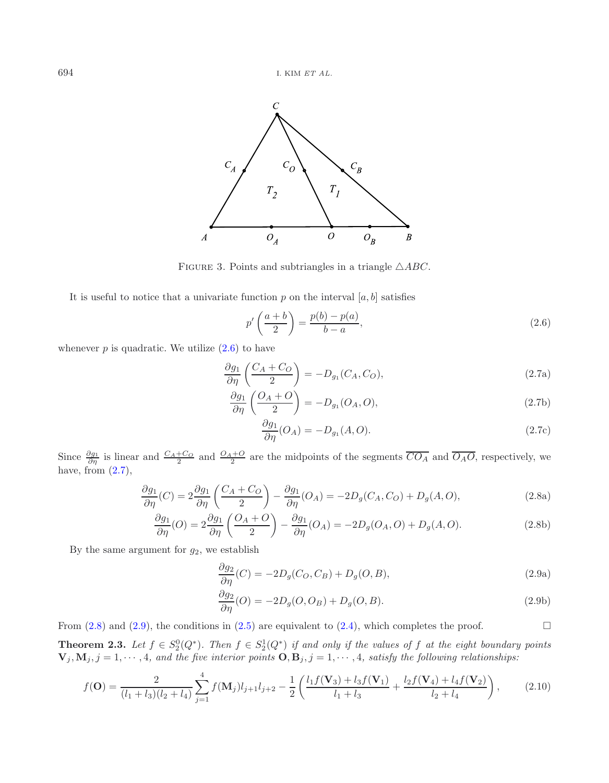<span id="page-5-2"></span><span id="page-5-1"></span>

FIGURE 3. Points and subtriangles in a triangle  $\triangle ABC$ .

It is useful to notice that a univariate function  $p$  on the interval  $[a, b]$  satisfies

<span id="page-5-3"></span>
$$
p'\left(\frac{a+b}{2}\right) = \frac{p(b)-p(a)}{b-a},\tag{2.6}
$$

whenever  $p$  is quadratic. We utilize  $(2.6)$  to have

$$
\frac{\partial g_1}{\partial \eta} \left( \frac{C_A + C_O}{2} \right) = -D_{g_1}(C_A, C_O),\tag{2.7a}
$$

$$
\frac{\partial g_1}{\partial \eta} \left( \frac{O_A + O}{2} \right) = -D_{g_1}(O_A, O),\tag{2.7b}
$$

<span id="page-5-4"></span>
$$
\frac{\partial g_1}{\partial \eta}(O_A) = -D_{g_1}(A, O). \tag{2.7c}
$$

Since  $\frac{\partial g_1}{\partial \eta}$  is linear and  $\frac{C_A+C_O}{2}$  and  $\frac{O_A+O}{2}$  are the midpoints of the segments  $\overline{CO_A}$  and  $\overline{O_AO}$ , respectively, we have, from  $(2.7)$ ,

$$
\frac{\partial g_1}{\partial \eta}(C) = 2 \frac{\partial g_1}{\partial \eta} \left( \frac{C_A + C_O}{2} \right) - \frac{\partial g_1}{\partial \eta}(O_A) = -2D_g(C_A, C_O) + D_g(A, O),\tag{2.8a}
$$

$$
\frac{\partial g_1}{\partial \eta}(O) = 2 \frac{\partial g_1}{\partial \eta} \left( \frac{O_A + O}{2} \right) - \frac{\partial g_1}{\partial \eta}(O_A) = -2D_g(O_A, O) + D_g(A, O). \tag{2.8b}
$$

By the same argument for  $g_2$ , we establish

$$
\frac{\partial g_2}{\partial \eta}(C) = -2D_g(C_O, C_B) + D_g(O, B),\tag{2.9a}
$$

$$
\frac{\partial g_2}{\partial \eta}(O) = -2D_g(O, O_B) + D_g(O, B). \tag{2.9b}
$$

<span id="page-5-5"></span> $\Box$ 

<span id="page-5-0"></span>From  $(2.8)$  and  $(2.9)$ , the conditions in  $(2.5)$  are equivalent to  $(2.4)$ , which completes the proof.

**Theorem 2.3.** Let  $f \in S_2^0(Q^*)$ . Then  $f \in S_2^1(Q^*)$  if and only if the values of f at the eight boundary points<br>**V**. M,  $i = 1, ..., A$  and the five interior points **O** B,  $i = 1, ..., A$  satisfy the following relationships:  $\mathbf{V}_j, \mathbf{M}_j, j = 1, \dots, 4$ , and the five interior points  $\mathbf{O}, \mathbf{B}_j, j = 1, \dots, 4$ , satisfy the following relationships:

$$
f(\mathbf{O}) = \frac{2}{(l_1 + l_3)(l_2 + l_4)} \sum_{j=1}^{4} f(\mathbf{M}_j) l_{j+1} l_{j+2} - \frac{1}{2} \left( \frac{l_1 f(\mathbf{V}_3) + l_3 f(\mathbf{V}_1)}{l_1 + l_3} + \frac{l_2 f(\mathbf{V}_4) + l_4 f(\mathbf{V}_2)}{l_2 + l_4} \right),
$$
(2.10)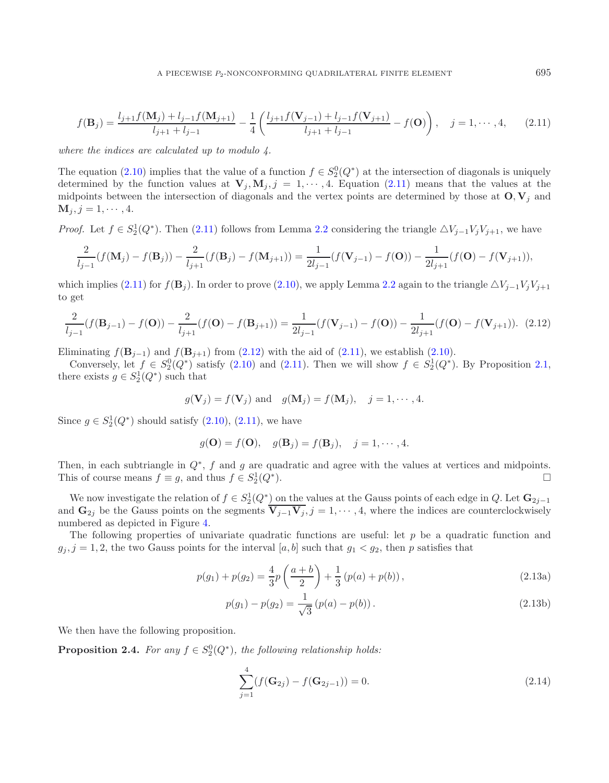<span id="page-6-0"></span>
$$
f(\mathbf{B}_{j}) = \frac{l_{j+1}f(\mathbf{M}_{j}) + l_{j-1}f(\mathbf{M}_{j+1})}{l_{j+1} + l_{j-1}} - \frac{1}{4} \left( \frac{l_{j+1}f(\mathbf{V}_{j-1}) + l_{j-1}f(\mathbf{V}_{j+1})}{l_{j+1} + l_{j-1}} - f(\mathbf{O}) \right), \quad j = 1, \cdots, 4,
$$
 (2.11)

<span id="page-6-1"></span>*where the indices are calculated up to modulo 4.*

The equation [\(2.10\)](#page-5-5) implies that the value of a function  $f \in S_2^0(Q^*)$  at the intersection of diagonals is uniquely determined by the function values at  $V \cdot M \cdot i = 1 \cdots 4$  Equation (2.11) means that the values at the determined by the function values at  $\mathbf{V}_j$ ,  $\mathbf{M}_j$ ,  $j = 1, \dots, 4$ . Equation [\(2.11\)](#page-6-0) means that the values at the midpoints between the intersection of diagonals and the vertex points are determined by those at  $O, V_j$  and  $M_j, j = 1, \cdots, 4.$ 

*Proof.* Let  $f \in S_2^1(Q^*)$ . Then [\(2.11\)](#page-6-0) follows from Lemma [2.2](#page-4-2) considering the triangle  $\Delta V_{j-1}V_jV_{j+1}$ , we have

$$
\frac{2}{l_{j-1}}(f(\mathbf{M}_j) - f(\mathbf{B}_j)) - \frac{2}{l_{j+1}}(f(\mathbf{B}_j) - f(\mathbf{M}_{j+1})) = \frac{1}{2l_{j-1}}(f(\mathbf{V}_{j-1}) - f(\mathbf{O})) - \frac{1}{2l_{j+1}}(f(\mathbf{O}) - f(\mathbf{V}_{j+1})),
$$

which implies [\(2.11\)](#page-6-0) for  $f(\mathbf{B}_j)$ . In order to prove [\(2.10\)](#page-5-5), we apply Lemma [2.2](#page-4-2) again to the triangle  $\Delta V_{j-1}V_jV_{j+1}$ to get

$$
\frac{2}{l_{j-1}}(f(\mathbf{B}_{j-1}) - f(\mathbf{O})) - \frac{2}{l_{j+1}}(f(\mathbf{O}) - f(\mathbf{B}_{j+1})) = \frac{1}{2l_{j-1}}(f(\mathbf{V}_{j-1}) - f(\mathbf{O})) - \frac{1}{2l_{j+1}}(f(\mathbf{O}) - f(\mathbf{V}_{j+1})).
$$
 (2.12)

Eliminating  $f(\mathbf{B}_{j-1})$  and  $f(\mathbf{B}_{j+1})$  from [\(2.12\)](#page-6-1) with the aid of [\(2.11\)](#page-6-0), we establish [\(2.10\)](#page-5-5).

Conversely, let  $f \in S_2^0(Q^*)$  satisfy [\(2.10\)](#page-5-5) and [\(2.11\)](#page-6-0). Then we will show  $f \in S_2^1(Q^*)$ . By Proposition [2.1,](#page-2-0)<br>ere exists  $g \in S_2^1(O^*)$  such that there exists  $g \in S_2^1(Q^*)$  such that

$$
g(\mathbf{V}_j) = f(\mathbf{V}_j)
$$
 and  $g(\mathbf{M}_j) = f(\mathbf{M}_j)$ ,  $j = 1, \dots, 4$ .

Since  $g \in S_2^1(Q^*)$  should satisfy  $(2.10)$ ,  $(2.11)$ , we have

$$
g(\mathbf{O}) = f(\mathbf{O}), \quad g(\mathbf{B}_j) = f(\mathbf{B}_j), \quad j = 1, \cdots, 4.
$$

Then, in each subtriangle in  $Q^*$ , f and g are quadratic and agree with the values at vertices and midpoints.<br>This of course means  $f = g$  and thus  $f \in S_2^1(O^*)$ This of course means  $f \equiv g$ , and thus  $f \in S_2^1(Q^*)$ .  $\Box$   $\Box$ 

We now investigate the relation of  $f \in S_2^1(Q^*)$  on the values at the Gauss points of each edge in Q. Let  $\mathbf{G}_{2j-1}$ <br>d  $\mathbf{G}_{\infty}$  be the Gauss points on the segments  $\overline{\mathbf{V} \cdot \cdot \mathbf{V}}$ ,  $i = 1, ..., 4$  where the indice and  $\mathbf{G}_{2j}$  be the Gauss points on the segments  $\mathbf{V}_{j-1}\mathbf{V}_j$ ,  $j=1,\dots,4$ , where the indices are counterclockwisely numbered as depicted in Figure 4. numbered as depicted in Figure [4.](#page-7-0)

The following properties of univariate quadratic functions are useful: let  $p$  be a quadratic function and  $g_i, j = 1, 2$ , the two Gauss points for the interval [a, b] such that  $g_1 < g_2$ , then p satisfies that

$$
p(g_1) + p(g_2) = \frac{4}{3}p\left(\frac{a+b}{2}\right) + \frac{1}{3}\left(p(a) + p(b)\right),\tag{2.13a}
$$

$$
p(g_1) - p(g_2) = \frac{1}{\sqrt{3}} (p(a) - p(b)).
$$
\n(2.13b)

We then have the following proposition.

**Proposition 2.4.** For any  $f \in S_2^0(Q^*)$ , the following relationship holds:

$$
\sum_{j=1}^{4} (f(\mathbf{G}_{2j}) - f(\mathbf{G}_{2j-1})) = 0.
$$
\n(2.14)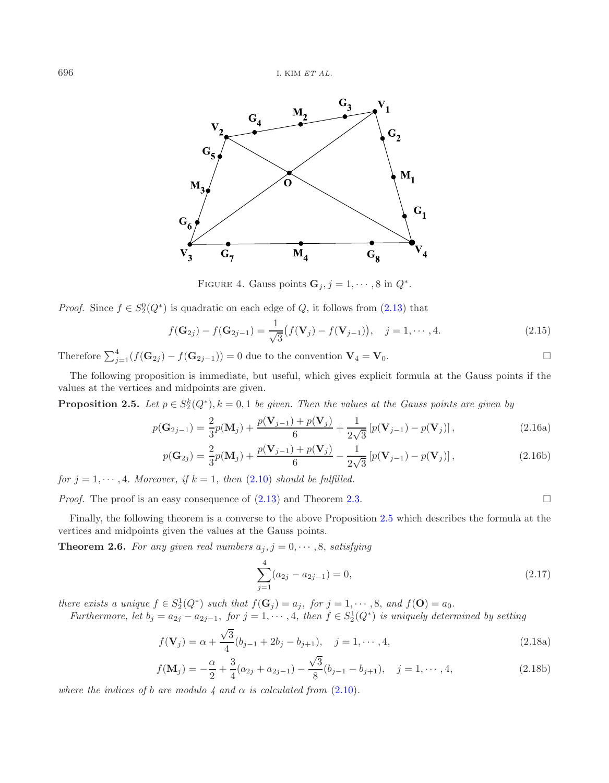<span id="page-7-0"></span>

<span id="page-7-1"></span>FIGURE 4. Gauss points  $\mathbf{G}_j, j = 1, \cdots, 8$  in  $Q^*$ .

*Proof.* Since  $f \in S_2^0(Q^*)$  is quadratic on each edge of Q, it follows from [\(2.13\)](#page-7-0) that

<span id="page-7-3"></span><span id="page-7-2"></span>
$$
f(\mathbf{G}_{2j}) - f(\mathbf{G}_{2j-1}) = \frac{1}{\sqrt{3}} (f(\mathbf{V}_j) - f(\mathbf{V}_{j-1})), \quad j = 1, \cdots, 4.
$$
 (2.15)

Therefore  $\sum_{j=1}^{4} (f(\mathbf{G}_{2j}) - f(\mathbf{G}_{2j-1})) = 0$  due to the convention  $\mathbf{V}_4 = \mathbf{V}_0$ .

The following proposition is immediate, but useful, which gives explicit formula at the Gauss points if the values at the vertices and midpoints are given.

**Proposition 2.5.** *Let*  $p \in S_2^k(Q^*), k = 0, 1$  *be given. Then the values at the Gauss points are given by* 

$$
p(\mathbf{G}_{2j-1}) = \frac{2}{3}p(\mathbf{M}_j) + \frac{p(\mathbf{V}_{j-1}) + p(\mathbf{V}_j)}{6} + \frac{1}{2\sqrt{3}}\left[p(\mathbf{V}_{j-1}) - p(\mathbf{V}_j)\right],
$$
\n(2.16a)

$$
p(\mathbf{G}_{2j}) = \frac{2}{3}p(\mathbf{M}_{j}) + \frac{p(\mathbf{V}_{j-1}) + p(\mathbf{V}_{j})}{6} - \frac{1}{2\sqrt{3}}[p(\mathbf{V}_{j-1}) - p(\mathbf{V}_{j})],
$$
\n(2.16b)

*for*  $j = 1, \dots, 4$ *. Moreover, if*  $k = 1$ *, then* [\(2.10\)](#page-5-5) *should be fulfilled.* 

*Proof.* The proof is an easy consequence of  $(2.13)$  and Theorem [2.3.](#page-5-0)

Finally, the following theorem is a converse to the above Proposition [2.5](#page-7-1) which describes the formula at the vertices and midpoints given the values at the Gauss points.

**Theorem 2.6.** For any given real numbers  $a_j$ ,  $j = 0, \dots, 8$ , satisfying

$$
\sum_{j=1}^{4} (a_{2j} - a_{2j-1}) = 0,
$$
\n(2.17)

*there exists a unique*  $f \in S_2^1(Q^*)$  *such that*  $f(\mathbf{G}_j) = a_j$ , *for*  $j = 1, \dots, 8$ , *and*  $f(\mathbf{O}) = a_0$ .<br>*Furthermore, let*  $b_i = a_0$ ,  $f$  and  $f$  and  $f$  and  $f$  and  $f$  and  $f(\mathbf{O})$  is uniquely determined.

*Furthermore, let*  $b_j = a_{2j} - a_{2j-1}$ , *for*  $j = 1, \dots, 4$ , *then*  $f \in S_2^1(Q^*)$  *is uniquely determined by setting*  $\sqrt{3}$ 

$$
f(\mathbf{V}_j) = \alpha + \frac{\sqrt{3}}{4} (b_{j-1} + 2b_j - b_{j+1}), \quad j = 1, \cdots, 4,
$$
\n(2.18a)

$$
f(\mathbf{M}_{j}) = -\frac{\alpha}{2} + \frac{3}{4}(a_{2j} + a_{2j-1}) - \frac{\sqrt{3}}{8}(b_{j-1} - b_{j+1}), \quad j = 1, \cdots, 4,
$$
\n(2.18b)

*where the indices of b are modulo 4 and*  $\alpha$  *is calculated from [\(2.10\)](#page-5-5)*.

$$
\qquad \qquad \Box
$$

 $\Box$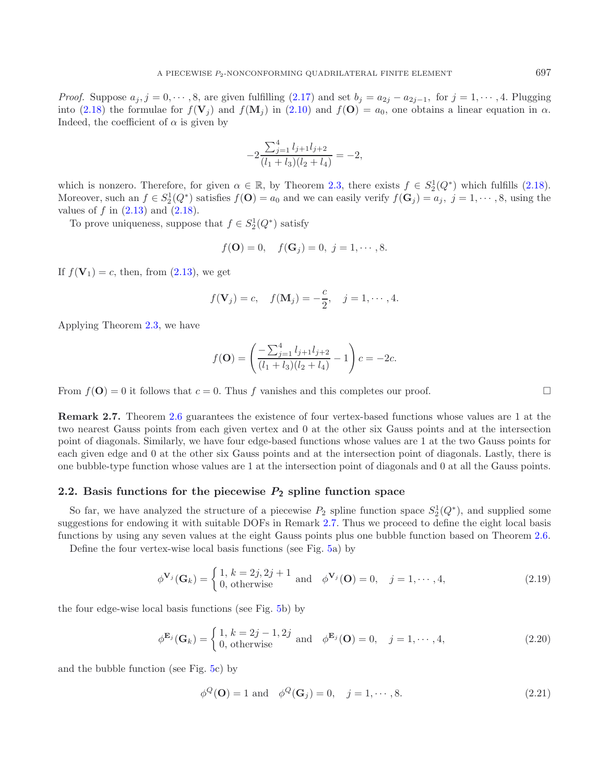*Proof.* Suppose  $a_j$ ,  $j = 0, \dots, 8$ , are given fulfilling [\(2.17\)](#page-7-2) and set  $b_j = a_{2j} - a_{2j-1}$ , for  $j = 1, \dots, 4$ . Plugging into [\(2.18\)](#page-7-2) the formulae for  $f(\mathbf{V}_i)$  and  $f(\mathbf{M}_i)$  in [\(2.10\)](#page-5-5) and  $f(\mathbf{O}) = a_0$ , one obtains a linear equation in  $\alpha$ . Indeed, the coefficient of  $\alpha$  is given by

$$
-2\frac{\sum_{j=1}^{4}l_{j+1}l_{j+2}}{(l_1+l_3)(l_2+l_4)} = -2,
$$

which is nonzero. Therefore, for given  $\alpha \in \mathbb{R}$ , by Theorem [2.3,](#page-5-0) there exists  $f \in S_2^1(Q^*)$  which fulfills [\(2.18\)](#page-7-2).<br>Moreover such an  $f \in S_2^1(O^*)$  satisfies  $f(\mathbf{O}) = a_0$  and we can easily verify  $f(\mathbf{C}) = a_1, i = 1, \dots,$ Moreover, such an  $f \in S_2^1(Q^*)$  satisfies  $f(\mathbf{O}) = a_0$  and we can easily verify  $f(\mathbf{G}_j) = a_j$ ,  $j = 1, \dots, 8$ , using the values of f in (2.13) and (2.18) values of f in  $(2.13)$  and  $(2.18)$ .

To prove uniqueness, suppose that  $f \in S_2^1(Q^*)$  satisfy

$$
f(\mathbf{O}) = 0
$$
,  $f(\mathbf{G}_j) = 0$ ,  $j = 1, \dots, 8$ .

If  $f(\mathbf{V}_1) = c$ , then, from  $(2.13)$ , we get

$$
f(\mathbf{V}_j) = c
$$
,  $f(\mathbf{M}_j) = -\frac{c}{2}$ ,  $j = 1, \dots, 4$ .

Applying Theorem [2.3,](#page-5-0) we have

$$
f(\mathbf{O}) = \left(\frac{-\sum_{j=1}^{4} l_{j+1} l_{j+2}}{(l_1 + l_3)(l_2 + l_4)} - 1\right) c = -2c.
$$

From  $f(\mathbf{O}) = 0$  it follows that  $c = 0$ . Thus f vanishes and this completes our proof.

<span id="page-8-0"></span>**Remark 2.7.** Theorem [2.6](#page-7-3) guarantees the existence of four vertex-based functions whose values are 1 at the two nearest Gauss points from each given vertex and 0 at the other six Gauss points and at the intersection point of diagonals. Similarly, we have four edge-based functions whose values are 1 at the two Gauss points for each given edge and 0 at the other six Gauss points and at the intersection point of diagonals. Lastly, there is one bubble-type function whose values are 1 at the intersection point of diagonals and 0 at all the Gauss points.

#### **2.2. Basis functions for the piecewise** *P***<sup>2</sup> spline function space**

So far, we have analyzed the structure of a piecewise  $P_2$  spline function space  $S_2^1(Q^*)$ , and supplied some<br>reactions for endowing it with suitable DOEs in Bemark 2.7. Thus we proceed to define the eight local basis suggestions for endowing it with suitable DOFs in Remark [2.7.](#page-8-0) Thus we proceed to define the eight local basis functions by using any seven values at the eight Gauss points plus one bubble function based on Theorem [2.6.](#page-7-3) Define the four vertex-wise local basis functions (see Fig. [5a](#page-9-0)) by

<span id="page-8-1"></span>

$$
\phi^{\mathbf{V}_j}(\mathbf{G}_k) = \begin{cases} 1, k = 2j, 2j + 1 \\ 0, \text{ otherwise} \end{cases} \text{ and } \phi^{\mathbf{V}_j}(\mathbf{O}) = 0, \quad j = 1, \cdots, 4,
$$
 (2.19)

<span id="page-8-2"></span>the four edge-wise local basis functions (see Fig. [5b](#page-9-0)) by

<span id="page-8-3"></span>
$$
\phi^{\mathbf{E}_j}(\mathbf{G}_k) = \begin{cases} 1, k = 2j - 1, 2j \\ 0, \text{ otherwise} \end{cases} \text{ and } \phi^{\mathbf{E}_j}(\mathbf{O}) = 0, \quad j = 1, \cdots, 4,
$$
 (2.20)

and the bubble function (see Fig. [5c](#page-9-0)) by

$$
\phi^Q(\mathbf{O}) = 1 \text{ and } \phi^Q(\mathbf{G}_j) = 0, \quad j = 1, \cdots, 8. \tag{2.21}
$$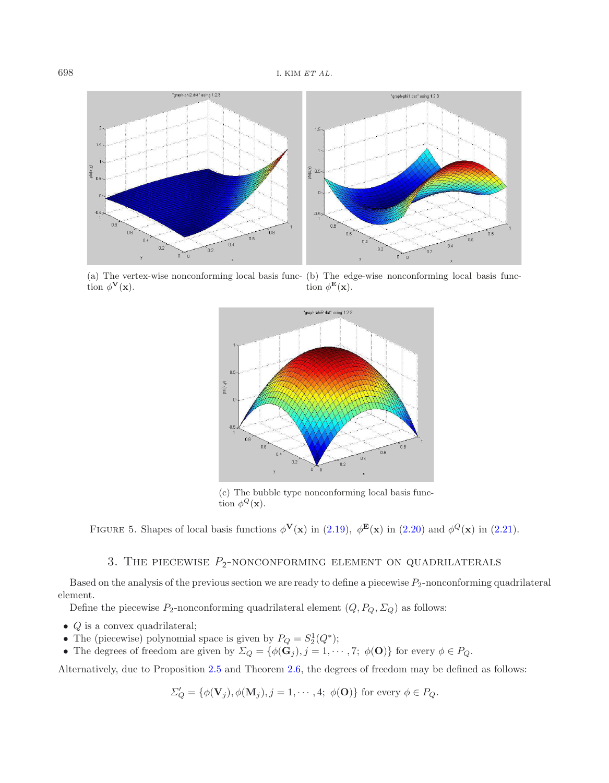

<span id="page-9-0"></span>(a) The vertex-wise nonconforming local basis func-(b) The edge-wise nonconforming local basis function  $\phi^{\mathbf{V}}(\mathbf{x})$ . tion  $\phi^{\mathbf{E}}(\mathbf{x})$ .



(c) The bubble type nonconforming local basis function  $\phi^Q(\mathbf{x})$ .

FIGURE 5. Shapes of local basis functions  $\phi^{\mathbf{V}}(\mathbf{x})$  in [\(2.19\)](#page-8-1),  $\phi^{\mathbf{E}}(\mathbf{x})$  in [\(2.20\)](#page-8-2) and  $\phi^Q(\mathbf{x})$  in [\(2.21\)](#page-8-3).

## 3. THE PIECEWISE  $P_2$ -NONCONFORMING ELEMENT ON QUADRILATERALS

Based on the analysis of the previous section we are ready to define a piecewise  $P_2$ -nonconforming quadrilateral element.

Define the piecewise  $P_2$ -nonconforming quadrilateral element  $(Q, P_Q, \Sigma_Q)$  as follows:

- $Q$  is a convex quadrilateral;
- The (piecewise) polynomial space is given by  $P_Q = S_2^1(Q^*);$ <br>• The degrees of freedom are given by  $\sum_{\alpha} \frac{f_{\alpha}(\mathbf{G}_{\alpha})}{\alpha}$  i  $= 1, \ldots$
- The degrees of freedom are given by  $\Sigma_Q = \{ \phi(\mathbf{G}_j), j = 1, \cdots, 7; \phi(\mathbf{O}) \}$  for every  $\phi \in P_Q$ .

Alternatively, due to Proposition [2.5](#page-7-1) and Theorem [2.6,](#page-7-3) the degrees of freedom may be defined as follows:

$$
\Sigma'_Q = \{ \phi(\mathbf{V}_j), \phi(\mathbf{M}_j), j = 1, \cdots, 4; \phi(\mathbf{O}) \}
$$
 for every  $\phi \in P_Q$ .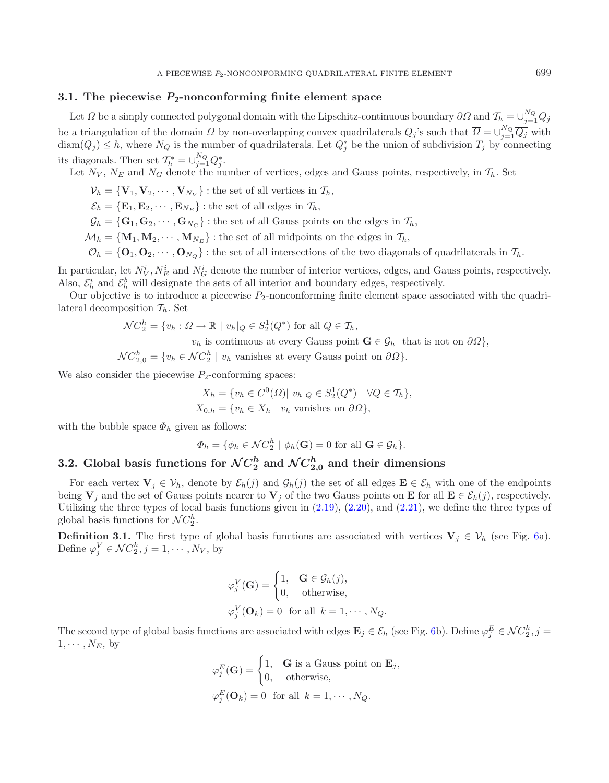## **3.1. The piecewise** *P***2-nonconforming finite element space**

Let  $\Omega$  be a simply connected polygonal domain with the Lipschitz-continuous boundary  $\partial\Omega$  and  $\mathcal{T}_h = \bigcup_{i=1}^{N_Q} Q_i$  $j=1\,{}^{\mathcal{Q}}\,$ be a triangulation of the domain  $\Omega$  by non-overlapping convex quadrilaterals  $Q_j$ 's such that  $\Omega = \bigcup_{j=1}^{N_Q} Q_j$  with  $\dim(\Omega) \leq h$  where  $N_Q$  is the number of quadrilaterals. Let  $\Omega^*$  be the union of subdivision  $T$  b  $\text{diam}(Q_j) \leq h$ , where  $N_Q$  is the number of quadrilaterals. Let  $Q_j^*$  be the union of subdivision  $T_j$  by connecting its diagonals. Then set  $\mathcal{T}_h^* = \bigcup_{j=1}^{N_Q} Q_j^*$ .<br>Let  $N_V$ ,  $N_E$  and  $N_G$  denote the number of vertices, edges and Gauss points, respectively, in  $\mathcal{T}_h$ . Set

- $\mathcal{V}_h = {\mathbf{V}_1, \mathbf{V}_2, \cdots, \mathbf{V}_{N_V}}$  : the set of all vertices in  $\mathcal{T}_h$ ,
- $\mathcal{E}_h = \{ \mathbf{E}_1, \mathbf{E}_2, \cdots, \mathbf{E}_{N_E} \}$ : the set of all edges in  $\mathcal{T}_h$ ,
- $\mathcal{G}_h = \{\mathbf{G}_1, \mathbf{G}_2, \cdots, \mathbf{G}_{N_G}\}$ : the set of all Gauss points on the edges in  $\mathcal{T}_h$ ,
- $M_h = {\bf{M}}_1, {\bf{M}}_2, \cdots, {\bf{M}}_{N_E}$ : the set of all midpoints on the edges in  $\mathcal{T}_h$ ,
- $\mathcal{O}_h = {\bf{O}}_1, {\bf{O}}_2, \cdots, {\bf{O}}_{N_O}$ : the set of all intersections of the two diagonals of quadrilaterals in  $\mathcal{T}_h$ .

In particular, let  $N_V^i$ ,  $N_E^i$  and  $N_G^i$  denote the number of interior vertices, edges, and Gauss points, respectively.<br>Also  $S_i^i$  and  $S_i^b$  will designate the sets of all interior and boundary edges, respectively. In particular, let  $N_V$ ,  $N_E$  and  $N_G$  denote the number of interior vertices, edges, and Gas Also,  $\mathcal{E}_h^i$  and  $\mathcal{E}_h^b$  will designate the sets of all interior and boundary edges, respectively.<br>Our objective is to

Our objective is to introduce a piecewise  $P_2$ -nonconforming finite element space associated with the quadrilateral decomposition  $\mathcal{T}_h$ . Set

$$
\mathcal{N}C_2^h = \{v_h : \Omega \to \mathbb{R} \mid v_h|_Q \in S_2^1(Q^*) \text{ for all } Q \in \mathcal{T}_h,
$$

<span id="page-10-0"></span> $v_h$  is continuous at every Gauss point  $\mathbf{G} \in \mathcal{G}_h$  that is not on  $\partial \Omega$ ,

 $\mathcal{NC}_{2,0}^n = \{v_h \in \mathcal{NC}_2^n \mid v_h \text{ vanishes at every Gauss point on } \partial\Omega\}.$ We also consider the piecewise  $P_2$ -conforming spaces:

$$
X_h = \{v_h \in C^0(\Omega) | v_h|_Q \in S_2^1(Q^*) \quad \forall Q \in \mathcal{T}_h\},
$$
  

$$
X_{0,h} = \{v_h \in X_h | v_h \text{ vanishes on } \partial\Omega\},
$$

with the bubble space  $\Phi_h$  given as follows:

$$
\Phi_h = \{ \phi_h \in \mathcal{N}C_2^h \mid \phi_h(\mathbf{G}) = 0 \text{ for all } \mathbf{G} \in \mathcal{G}_h \}.
$$

# **3.2.** Global basis functions for  $\mathcal{N}C_{2}^{h}$  and  $\mathcal{N}C_{2,0}^{h}$  and their dimensions

For each vertex  $\mathbf{V}_j \in \mathcal{V}_h$ , denote by  $\mathcal{E}_h(j)$  and  $\mathcal{G}_h(j)$  the set of all edges  $\mathbf{E} \in \mathcal{E}_h$  with one of the endpoints being  $\mathbf{V}_j$  and the set of Gauss points nearer to  $\mathbf{V}_j$  of the two Gauss points on **E** for all  $\mathbf{E} \in \mathcal{E}_h(j)$ , respectively. Utilizing the three types of local basis functions given in  $(2.19)$ ,  $(2.20)$ , and  $(2.21)$ , we define the three types of global basis functions for  $\mathcal{N}C_2^h$ .

**Definition 3.1.** The first type of global basis functions are associated with vertices  $V_j \in V_h$  (see Fig. [6a](#page-11-0)). Define  $\varphi_j^V \in \mathcal{N}C_2^h, j = 1, \cdots, N_V,$  by

$$
\varphi_j^V(\mathbf{G}) = \begin{cases} 1, & \mathbf{G} \in \mathcal{G}_h(j), \\ 0, & \text{otherwise,} \end{cases}
$$

$$
\varphi_j^V(\mathbf{O}_k) = 0 \text{ for all } k = 1, \cdots, N_Q.
$$

The second type of global basis functions are associated with edges  $\mathbf{E}_j \in \mathcal{E}_h$  (see Fig. [6b](#page-11-0)). Define  $\varphi_j^E \in \mathcal{NC}_2^h$ ,  $j = 1, \ldots, N_{\Gamma}$  by  $1, \cdots, N_E$ , by

$$
\varphi_j^E(\mathbf{G}) = \begin{cases} 1, & \mathbf{G} \text{ is a Gauss point on } \mathbf{E}_j, \\ 0, & \text{otherwise,} \end{cases}
$$

$$
\varphi_j^E(\mathbf{O}_k) = 0 \text{ for all } k = 1, \cdots, N_Q.
$$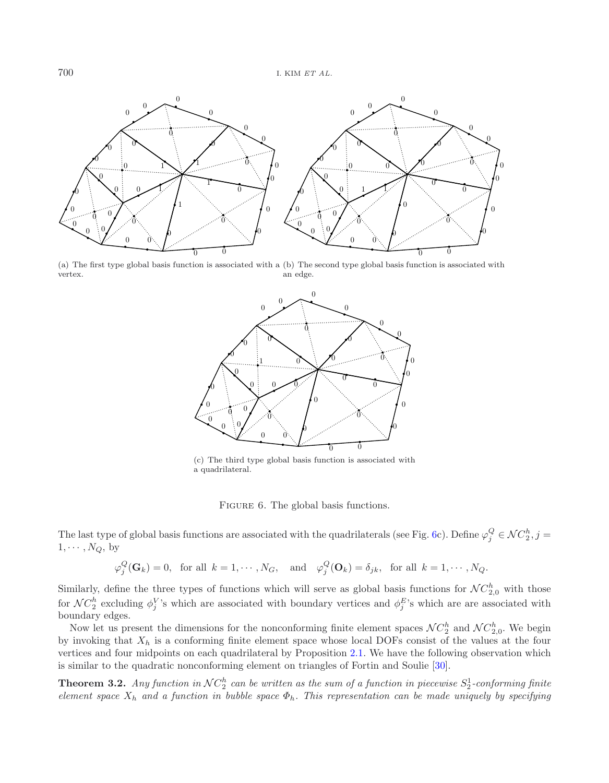

(a) The first type global basis function is associated with a (b) The second type global basis function is associated with vertex. an edge.

<span id="page-11-0"></span>

(c) The third type global basis function is associated with a quadrilateral.

FIGURE 6. The global basis functions.

The last type of global basis functions are associated with the quadrilaterals (see Fig. [6c](#page-11-0)). Define  $\varphi_j^Q \in \mathcal{NC}_2^n$ ,  $j = 1, \ldots, N_Q$  by  $1, \cdots, N_Q$ , by

 $\varphi_j^{\mathcal{Q}}(\mathbf{G}_k) = 0$ , for all  $k = 1, \cdots, N_G$ , and  $\varphi_j^{\mathcal{Q}}(\mathbf{O}_k) = \delta_{jk}$ , for all  $k = 1, \cdots, N_Q$ .

Similarly, define the three types of functions which will serve as global basis functions for  $\mathcal{NC}_2^n$  with those for  $\mathcal{NC}_2^h$  excluding  $\phi_j^V$ 's which are associated with boundary vertices and  $\phi_j^E$ 's which are are associated with boundary edges boundary edges.

Now let us present the dimensions for the nonconforming finite element spaces  $\mathcal{NC}_2^h$  and  $\mathcal{NC}_{2,0}^h$ . We begin<br>invoking that  $Y_t$  is a conforming finite element space whose local DOEs consist of the values at the by invoking that  $X_h$  is a conforming finite element space whose local DOFs consist of the values at the four vertices and four midpoints on each quadrilateral by Proposition [2.1.](#page-2-0) We have the following observation which is similar to the quadratic nonconforming element on triangles of Fortin and Soulie [\[30](#page-25-15)].

<span id="page-11-1"></span>**Theorem 3.2.** *Any function in*  $NC_2^h$  *can be written as the sum of a function in piecewise*  $S_2^1$ -conforming finite<br>element space X, and a function in bubble space  $\Phi$ . This representation can be made uniquely by s *element space* <sup>X</sup>h *and a function in bubble space* <sup>Φ</sup>h*. This representation can be made uniquely by specifying*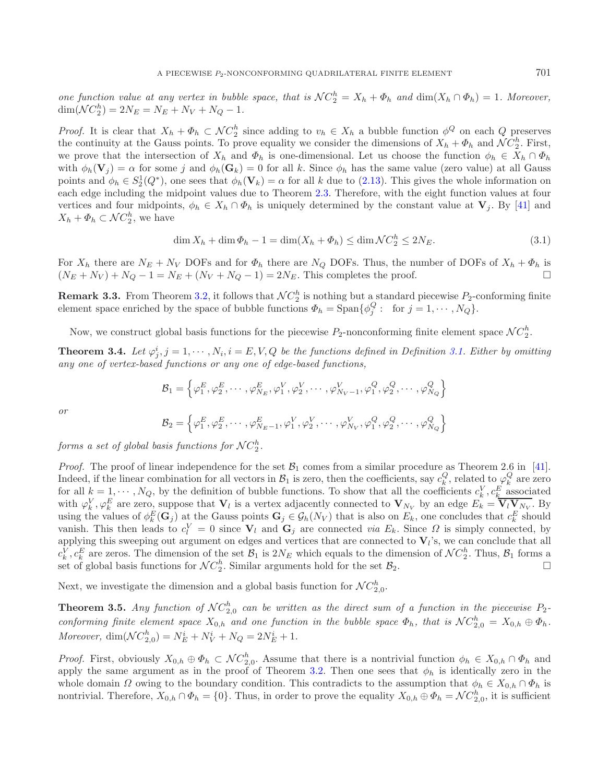*one function value at any vertex in bubble space, that is*  $\mathcal{NC}_2^n = X_h + \Phi_h$  *and*  $\dim(X_h \cap \Phi_h) = 1$ *. Moreover,*<br> $\dim(\mathcal{NC}_1^h) = 2N_E - N_E + N_V + N_O = 1$  $\dim(\mathcal{N}C_2^n) = 2N_E = N_E + N_V + N_Q - 1.$ 

*Proof.* It is clear that  $X_h + \Phi_h \subset \mathcal{NC}_2^n$  since adding to  $v_h \in X_h$  a bubble function  $\phi^Q$  on each Q preserves the continuity at the Gauss points. To prove equality we consider the dimensions of  $X_h + \Phi_h$  and  $\mathcal{NC}_h$ the continuity at the Gauss points. To prove equality we consider the dimensions of  $X_h + \Phi_h$  and  $\mathcal{NC}_2^n$ . First,  $\mathcal{NC}_2^n$  is  $\mathcal{CN}_n$  and  $\Phi_h$  is one-dimensional. Let us choose the function  $\phi_h \in X_h \cap \Phi_h$ . we prove that the intersection of  $X_h$  and  $\Phi_h$  is one-dimensional. Let us choose the function  $\phi_h \in X_h \cap \Phi_h$ with  $\phi_h(\mathbf{V}_j) = \alpha$  for some j and  $\phi_h(\mathbf{G}_k) = 0$  for all k. Since  $\phi_h$  has the same value (zero value) at all Gauss points and  $\phi_h \in S_2^1(Q^*)$ , one sees that  $\phi_h(\mathbf{V}_k) = \alpha$  for all k due to [\(2.13\)](#page-7-0). This gives the whole information on<br>each edge including the midpoint values due to Theorem 2.3. Therefore, with the eight function values each edge including the midpoint values due to Theorem [2.3.](#page-5-0) Therefore, with the eight function values at four vertices and four midpoints,  $\phi_h \in X_h \cap \Phi_h$  is uniquely determined by the constant value at  $\mathbf{V}_i$ . By [\[41\]](#page-25-25) and  $X_h + \Phi_h \subset \mathcal{N}C_2^n$ , we have

<span id="page-12-0"></span>
$$
\dim X_h + \dim \Phi_h - 1 = \dim(X_h + \Phi_h) \le \dim \mathcal{NC}_2^h \le 2N_E. \tag{3.1}
$$

For  $X_h$  there are  $N_E + N_V$  DOFs and for  $\Phi_h$  there are  $N_Q$  DOFs. Thus, the number of DOFs of  $X_h + \Phi_h$  is  $(N_E + N_V) + N_O - 1 = N_E + (N_V + N_O - 1) = 2N_E$ . This completes the proof  $(N_E + N_V) + N_Q - 1 = N_E + (N_V + N_Q - 1) = 2N_E$ . This completes the proof.

**Remark 3.3.** From Theorem [3.2,](#page-11-1) it follows that  $NC_2^n$  is nothing but a standard piecewise  $P_2$ -conforming finite element space enriched by the space of bubble functions  $\Phi_t = \text{Span}\{A^Q : \text{for } i = 1, ..., N_Q\}$ element space enriched by the space of bubble functions  $\Phi_h = \text{Span}\{\phi_j^{\mathcal{Q}}: \text{ for } j = 1, \cdots, N_Q\}.$ 

Now, we construct global basis functions for the piecewise  $P_2$ -nonconforming finite element space  $NC_2^n$ .

**Theorem 3.4.** Let  $\varphi_j^i$ ,  $j = 1, \dots, N_i$ ,  $i = E, V, Q$  be the functions defined in Definition [3.1.](#page-10-0) Either by omitting any one of verter-hased functions or any one of edge-hased functions. *any one of vertex-based functions or any one of edge-based functions,*

$$
\mathcal{B}_1 = \left\{ \varphi_1^E, \varphi_2^E, \cdots, \varphi_{N_E}^E, \varphi_1^V, \varphi_2^V, \cdots, \varphi_{N_V-1}^V, \varphi_1^Q, \varphi_2^Q, \cdots, \varphi_{N_Q}^Q \right\}
$$

*or*

$$
\mathcal{B}_2 = \left\{ \varphi_1^E, \varphi_2^E, \cdots, \varphi_{N_E-1}^E, \varphi_1^V, \varphi_2^V, \cdots, \varphi_{N_V}^V, \varphi_1^Q, \varphi_2^Q, \cdots, \varphi_{N_Q}^Q \right\}
$$

 $forms\ a\ set\ of\ global\ basis\ functions\ for\ NC_2^n$ .

*Proof.* The proof of linear independence for the set  $\mathcal{B}_1$  comes from a similar procedure as Theorem 2.6 in [\[41](#page-25-25)]. Indeed, if the linear combination for all vectors in  $\mathcal{B}_1$  is zero, then the coefficients, say  $c_k^{\vee}$ , related to  $\varphi_k^{\vee}$  are zero for all  $k-1, \ldots, N_{\Omega}$  by the definition of bubble functions. To show that all for all  $k = 1, \dots, N_Q$ , by the definition of bubble functions. To show that all the coefficients  $c_k^V, c_k^E$  associated<br>with  $c_k^V, c_k^E$  are zero, suppose that **V**, is a vertex adiacently connected to **V**, by an edge  $F_i = \over$ with  $\varphi_k^V$ ,  $\varphi_k^E$  are zero, suppose that  $V_l$  is a vertex adjacently connected to  $V_{N_V}$  by an edge  $E_k = V_l V_{N_V}$ . By using the values of  $\phi_k^E(G_i)$  at the Gauss points  $G_i \in G_l(N_{r_i})$  that is also on  $F_l$ , one conclu using the values of  $\phi_k^E(\mathbf{G}_j)$  at the Gauss points  $\mathbf{G}_j \in \mathcal{G}_h(N_V)$  that is also on  $E_k$ , one concludes that  $c_k^E$  should<br>vanish. This then leads to  $c^V = 0$  since  $\mathbf{V}_k$  and  $\mathbf{G}_k$  are connected *wie* E. vanish. This then leads to  $c_l^V = 0$  since  $V_l$  and  $G_j$  are connected *via*  $E_k$ . Since  $\Omega$  is simply connected, by another this sweeping out argument on edges and vertices that are connected to  $V_i$ 's we can conclude t applying this sweeping out argument on edges and vertices that are connected to  $V_l$ 's, we can conclude that all  $c_k^V, c_k^E$  are zeros. The dimension of the set  $\mathcal{B}_1$  is  $2N_E$  which equals to the dimension of  $\mathcal{NC}_2^h$ . Thus,  $\mathcal{B}_1$  forms a set of global basis functions for  $\mathcal{NC}_2^h$ . Similar arguments hold for the set  $\$ set of global basis functions for  $\mathcal{NC}_2^n$ . Similar arguments hold for the set  $\mathcal{B}_2$ .

Next, we investigate the dimension and a global basis function for  $\mathcal{NC}_{2,0}^n$ .

**Theorem 3.5.** *Any function of*  $NC_{2,0}^n$  *can be written as the direct sum of a function in the piecewise*  $P_2$ *conforming finite element space*  $X_{0,h}$  *and one function in the bubble space*  $\Phi_h$ , *that is*  $\mathcal{NC}_{2,0}^h = X_{0,h} \oplus \Phi_h$ .<br>Managementing  $\mathcal{NC}_h^h$   $\longrightarrow$   $\mathbb{Z}_h^i + \mathbb{Z}_h^i + \mathbb{Z}_h^i + \mathbb{Z}_h^i + \mathbb{Z}_h^i$ *Moreover*,  $\dim(\mathcal{N}C_{2,0}^n) = N_E^i + N_V^i + N_Q = 2N_E^i + 1.$ 

*Proof.* First, obviously  $X_{0,h} \oplus \Phi_h \subset \mathcal{NC}_{2,0}^n$ . Assume that there is a nontrivial function  $\phi_h \in X_{0,h} \cap \Phi_h$  and analy the same argument as in the proof of Theorem 3.2. Then one sees that  $\phi_h$  is identically zero apply the same argument as in the proof of Theorem [3.2.](#page-11-1) Then one sees that  $\phi_h$  is identically zero in the whole domain  $\Omega$  owing to the boundary condition. This contradicts to the assumption that  $\phi_h \in X_{0,h} \cap \Phi_h$  is nontrivial. Therefore,  $X_{0,h} \cap \Phi_h = \{0\}$ . Thus, in order to prove the equality  $X_{0,h} \oplus \Phi_h = \mathcal{N}C_{2,0}^h$ , it is sufficient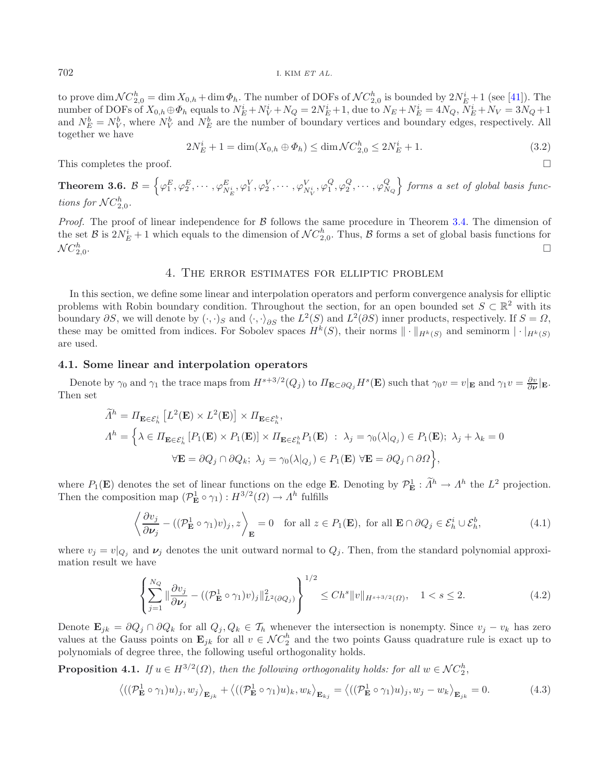702 I. KIM *ET AL.*

to prove  $\dim \mathcal{NC}_{2,0}^n = \dim X_{0,h} + \dim \Phi_h$ . The number of DOFs of  $\mathcal{NC}_{2,0}^n$  is bounded by  $2N_E^i + 1$  (see [\[41](#page-25-25)]). The number of DOFs of  $X_{0,h} \oplus \Phi_h$  equals to  $N_E^i + N_O^j = 2N_E^i + 1$  due to  $N_E + N_E^i = 4N_O$   $N_E^i + N_V = 3N_O + 1$ number of DOFs of  $X_{0,h} \oplus \Phi_h$  equals to  $N_E^i + N_V^i + N_Q = 2N_E^i + 1$ , due to  $N_E + N_E^i = 4N_Q$ ,  $N_E^i + N_V = 3N_Q + 1$ <br>and  $N_E^b = N_E^b$ , where  $N_E^b$  and  $N_E^b$  are the number of boundary vertices and boundary edges respectively. Al and  $N_E^b = N_V^b$ , where  $N_V^b$  and  $N_E^b$  are the number of boundary vertices and boundary edges, respectively. All together we have together we have

$$
2N_E^i + 1 = \dim(X_{0,h} \oplus \Phi_h) \le \dim \mathcal{N}C_{2,0}^h \le 2N_E^i + 1. \tag{3.2}
$$

This completes the proof.  $\Box$ 

 $\textbf{Theorem 3.6.} \; \mathcal{B} = \Big\{ \varphi^E_1, \varphi^E_2, \cdots, \varphi^E_{N_E^i}, \varphi^V_1, \varphi^V_2, \cdots, \varphi^V_{N_V^i}, \varphi^Q_1, \varphi^Q_2, \cdots, \varphi^Q_{N_Q} \Big\}$  *forms a set of global basis functions for*  $NC_{2,0}^h$ .

*Proof.* The proof of linear independence for B follows the same procedure in Theorem [3.4.](#page-12-0) The dimension of the set  $\mathcal{B}$  is  $2N_E^i + 1$  which equals to the dimension of  $\mathcal{N}C_{2,0}^h$ . Thus,  $\mathcal{B}$  forms a set of global basis functions for  $\mathcal{N}C_{2,0}^h$ .  $2,0$ .  $\Box$ 

## 4. The error estimates for elliptic problem

In this section, we define some linear and interpolation operators and perform convergence analysis for elliptic problems with Robin boundary condition. Throughout the section, for an open bounded set  $S \subset \mathbb{R}^2$  with its boundary  $\partial S$ , we will denote by  $(\cdot, \cdot)_S$  and  $\langle \cdot, \cdot \rangle_{\partial S}$  the  $L^2(S)$  and  $L^2(\partial S)$  inner products, respectively. If  $S = \Omega$ , these may be omitted from indices. For Sobolev spaces  $H^k(S)$ , their norms  $\|\cdot\|_{H^k(S)}$  and seminorm  $|\cdot|_{H^k(S)}$ are used.

#### <span id="page-13-3"></span>**4.1. Some linear and interpolation operators**

Denote by  $\gamma_0$  and  $\gamma_1$  the trace maps from  $H^{s+3/2}(Q_j)$  to  $\Pi_{\mathbf{E}\subset\partial Q_j}H^s(\mathbf{E})$  such that  $\gamma_0v=v|_{\mathbf{E}}$  and  $\gamma_1v=\frac{\partial v}{\partial\nu}|_{\mathbf{E}}$ . Then set

$$
\tilde{\Lambda}^h = \Pi_{\mathbf{E} \in \mathcal{E}_h^i} \left[ L^2(\mathbf{E}) \times L^2(\mathbf{E}) \right] \times \Pi_{\mathbf{E} \in \mathcal{E}_h^b},
$$
\n
$$
\Lambda^h = \left\{ \lambda \in \Pi_{\mathbf{E} \in \mathcal{E}_h^i} \left[ P_1(\mathbf{E}) \times P_1(\mathbf{E}) \right] \times \Pi_{\mathbf{E} \in \mathcal{E}_h^b} P_1(\mathbf{E}) \; : \; \lambda_j = \gamma_0(\lambda |_{Q_j}) \in P_1(\mathbf{E}); \; \lambda_j + \lambda_k = 0 \right\}
$$
\n
$$
\forall \mathbf{E} = \partial Q_j \cap \partial Q_k; \; \lambda_j = \gamma_0(\lambda |_{Q_j}) \in P_1(\mathbf{E}) \; \forall \mathbf{E} = \partial Q_j \cap \partial \Omega \right\},
$$

where  $P_1(\mathbf{E})$  denotes the set of linear functions on the edge **E**. Denoting by  $\mathcal{P}_\mathbf{E}^1 : \Lambda^h \to \Lambda^h$  the  $L^2$  projection.<br>Then the composition map  $(\mathcal{P}_\mathbf{E}^1 \circ \alpha_1) : H^{3/2}(O) \to \Lambda^h$  fulfills Then the composition map  $(\mathcal{P}_{\mathbf{E}}^1 \circ \gamma_1) : H^{3/2}(\Omega) \to \Lambda^h$  fulfills

$$
\left\langle \frac{\partial v_j}{\partial \nu_j} - \left( (\mathcal{P}_{\mathbf{E}}^1 \circ \gamma_1) v \right)_j, z \right\rangle_{\mathbf{E}} = 0 \quad \text{for all } z \in P_1(\mathbf{E}), \text{ for all } \mathbf{E} \cap \partial Q_j \in \mathcal{E}_h^i \cup \mathcal{E}_h^b,
$$
 (4.1)

<span id="page-13-1"></span>where  $v_j = v|_{Q_j}$  and  $\nu_j$  denotes the unit outward normal to  $Q_j$ . Then, from the standard polynomial approximation result we have

<span id="page-13-0"></span>
$$
\left\{\sum_{j=1}^{N_Q} \|\frac{\partial v_j}{\partial \nu_j} - ((\mathcal{P}_{\mathbf{E}}^1 \circ \gamma_1)v)_j\|_{L^2(\partial Q_j)}^2\right\}^{1/2} \le Ch^s \|v\|_{H^{s+3/2}(\Omega)}, \quad 1 < s \le 2. \tag{4.2}
$$

<span id="page-13-2"></span>Denote  $\mathbf{E}_{jk} = \partial Q_j \cap \partial Q_k$  for all  $Q_j, Q_k \in \mathcal{T}_h$  whenever the intersection is nonempty. Since  $v_j - v_k$  has zero values at the Gauss points on  $\mathbf{E}_{jk}$  for all  $v \in \mathcal{NC}_2^n$  and the two points Gauss quadrature rule is exact up to polynomials of degree these the following useful orthogonality holds polynomials of degree three, the following useful orthogonality holds.

**Proposition 4.1.** *If*  $u \in H^{3/2}(\Omega)$ , then the following orthogonality holds: for all  $w \in \mathcal{NC}_2^h$ ,

$$
\left\langle ((\mathcal{P}_{\mathbf{E}}^1 \circ \gamma_1)u)_j, w_j \right\rangle_{\mathbf{E}_{jk}} + \left\langle ((\mathcal{P}_{\mathbf{E}}^1 \circ \gamma_1)u)_k, w_k \right\rangle_{\mathbf{E}_{kj}} = \left\langle ((\mathcal{P}_{\mathbf{E}}^1 \circ \gamma_1)u)_j, w_j - w_k \right\rangle_{\mathbf{E}_{jk}} = 0. \tag{4.3}
$$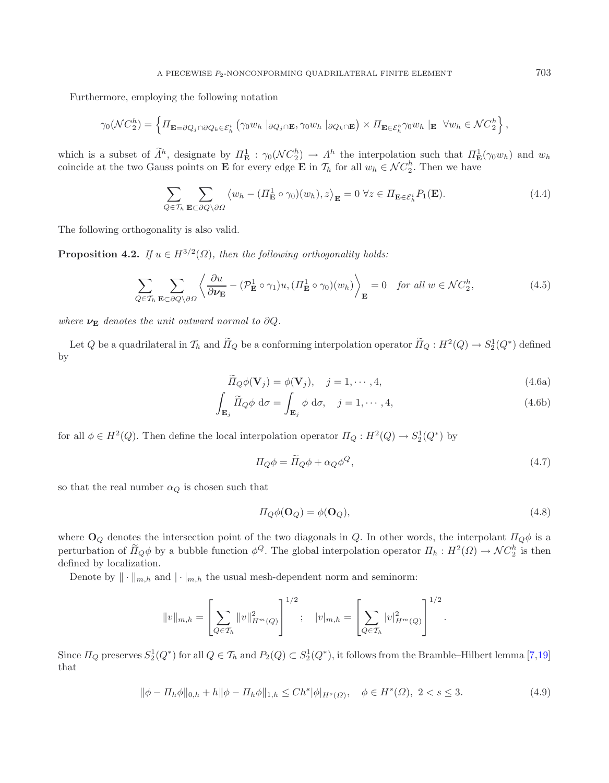Furthermore, employing the following notation

$$
\gamma_0(\mathcal{N}C_2^h) = \left\{ \Pi_{\mathbf{E} = \partial Q_j \cap \partial Q_k \in \mathcal{E}_h^i} \left( \gamma_0 w_h \mid_{\partial Q_j \cap \mathbf{E}}, \gamma_0 w_h \mid_{\partial Q_k \cap \mathbf{E}} \right) \times \Pi_{\mathbf{E} \in \mathcal{E}_h^b} \gamma_0 w_h \mid_{\mathbf{E}} \forall w_h \in \mathcal{N}C_2^h \right\},
$$

which is a subset of  $\Lambda^h$ , designate by  $\Pi^{\perp}_{\mathbf{E}} : \gamma_0(\mathcal{NC}_2^h) \to \Lambda^h$  the interpolation such that  $\Pi^{\perp}_{\mathbf{E}}(\gamma_0 w_h)$  and  $w_h$ <br>coincide at the two Gauss points on **E** for every edge **E** in  $\mathcal{T}_h$  for all  $w_h$ coincide at the two Gauss points on **E** for every edge **E** in  $\mathcal{T}_h$  for all  $w_h \in \mathcal{NC}_2^n$ . Then we have

<span id="page-14-2"></span><span id="page-14-1"></span>
$$
\sum_{Q \in \mathcal{T}_h} \sum_{\mathbf{E} \subset \partial Q \setminus \partial \Omega} \left\langle w_h - (\Pi^1_{\mathbf{E}} \circ \gamma_0)(w_h), z \right\rangle_{\mathbf{E}} = 0 \ \forall z \in \Pi_{\mathbf{E} \in \mathcal{E}_h^i} P_1(\mathbf{E}). \tag{4.4}
$$

The following orthogonality is also valid.

**Proposition 4.2.** *If*  $u \in H^{3/2}(\Omega)$ *, then the following orthogonality holds:* 

$$
\sum_{Q \in \mathcal{T}_h} \sum_{\mathbf{E} \subset \partial Q \setminus \partial \Omega} \left\langle \frac{\partial u}{\partial \nu_{\mathbf{E}}} - (\mathcal{P}_{\mathbf{E}}^1 \circ \gamma_1) u, (H_{\mathbf{E}}^1 \circ \gamma_0)(w_h) \right\rangle_{\mathbf{E}} = 0 \quad \text{for all } w \in \mathcal{NC}_2^h,
$$
\n(4.5)

*where*  $\nu$ **E** *denotes the unit outward normal to*  $\partial Q$ *.* 

Let Q be a quadrilateral in  $\mathcal{T}_h$  and  $\Pi_Q$  be a conforming interpolation operator  $\Pi_Q: H^2(Q) \to S^1_2(Q^*)$  defined by

$$
\widetilde{\Pi}_Q \phi(\mathbf{V}_j) = \phi(\mathbf{V}_j), \quad j = 1, \cdots, 4,
$$
\n(4.6a)

$$
\int_{\mathbf{E}_j} \widetilde{H}_Q \phi \, d\sigma = \int_{\mathbf{E}_j} \phi \, d\sigma, \quad j = 1, \cdots, 4,
$$
\n(4.6b)

for all  $\phi \in H^2(Q)$ . Then define the local interpolation operator  $\Pi_Q: H^2(Q) \to S^1_2(Q^*)$  by

$$
\Pi_Q \phi = \tilde{\Pi}_Q \phi + \alpha_Q \phi^Q, \qquad (4.7)
$$

so that the real number  $\alpha_Q$  is chosen such that

$$
\Pi_Q \phi(\mathbf{O}_Q) = \phi(\mathbf{O}_Q),\tag{4.8}
$$

where  $\mathbf{O}_Q$  denotes the intersection point of the two diagonals in Q. In other words, the interpolant  $\Pi_Q\phi$  is a perturbation of  $\Pi_Q \phi$  by a bubble function  $\phi^Q$ . The global interpolation operator  $\Pi_h : H^2(\Omega) \to \mathcal{N}C_2^h$  is then<br>defined by localization defined by localization.

Denote by  $\|\cdot\|_{m,h}$  and  $|\cdot|_{m,h}$  the usual mesh-dependent norm and seminorm:

$$
||v||_{m,h} = \left[\sum_{Q \in \mathcal{T}_h} ||v||_{H^m(Q)}^2\right]^{1/2}; \quad |v|_{m,h} = \left[\sum_{Q \in \mathcal{T}_h} |v|_{H^m(Q)}^2\right]^{1/2}.
$$

<span id="page-14-0"></span>Since  $\Pi_Q$  preserves  $S_2^1(Q^*)$  for all  $Q \in \mathcal{T}_h$  and  $P_2(Q) \subset S_2^1(Q^*)$ , it follows from the Bramble–Hilbert lemma [\[7](#page-24-6)[,19\]](#page-25-2) that

$$
\|\phi - \Pi_h \phi\|_{0,h} + h \|\phi - \Pi_h \phi\|_{1,h} \le C h^s |\phi|_{H^s(\Omega)}, \quad \phi \in H^s(\Omega), \ 2 < s \le 3. \tag{4.9}
$$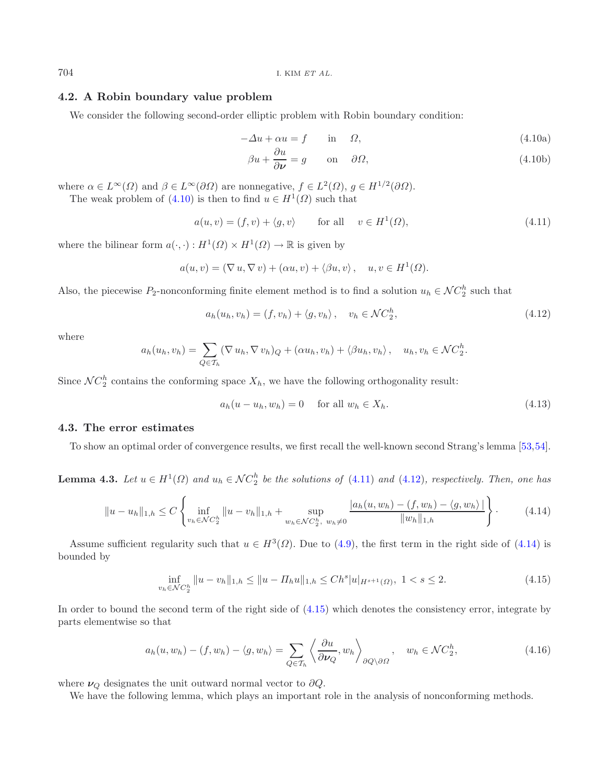704 I. KIM *ET AL.*

## <span id="page-15-0"></span>**4.2. A Robin boundary value problem**

We consider the following second-order elliptic problem with Robin boundary condition:

$$
-\Delta u + \alpha u = f \qquad \text{in} \qquad \Omega,
$$
\n
$$
(4.10a)
$$

<span id="page-15-7"></span>
$$
\beta u + \frac{\partial u}{\partial \nu} = g \qquad \text{on} \quad \partial \Omega,
$$
\n(4.10b)

where  $\alpha \in L^{\infty}(\Omega)$  and  $\beta \in L^{\infty}(\partial\Omega)$  are nonnegative,  $f \in L^{2}(\Omega)$ ,  $g \in H^{1/2}(\partial\Omega)$ .

<span id="page-15-1"></span>The weak problem of  $(4.10)$  is then to find  $u \in H^1(\Omega)$  such that

$$
a(u, v) = (f, v) + \langle g, v \rangle \qquad \text{for all} \quad v \in H^1(\Omega), \tag{4.11}
$$

where the bilinear form  $a(\cdot, \cdot) : H^1(\Omega) \times H^1(\Omega) \to \mathbb{R}$  is given by

$$
a(u, v) = (\nabla u, \nabla v) + (\alpha u, v) + \langle \beta u, v \rangle, \quad u, v \in H^1(\Omega).
$$

Also, the piecewise  $P_2$ -nonconforming finite element method is to find a solution  $u_h \in \mathcal{NC}_2^n$  such that

$$
a_h(u_h, v_h) = (f, v_h) + \langle g, v_h \rangle, \quad v_h \in \mathcal{NC}_2^h,
$$
\n
$$
(4.12)
$$

where

<span id="page-15-2"></span>
$$
a_h(u_h, v_h) = \sum_{Q \in \mathcal{T}_h} (\nabla u_h, \nabla v_h)_Q + (\alpha u_h, v_h) + \langle \beta u_h, v_h \rangle, \quad u_h, v_h \in \mathcal{N}C_2^h.
$$

Since  $NC_2^n$  contains the conforming space  $X_h$ , we have the following orthogonality result:

$$
a_h(u - u_h, w_h) = 0 \quad \text{for all } w_h \in X_h.
$$
\n
$$
(4.13)
$$

#### **4.3. The error estimates**

To show an optimal order of convergence results, we first recall the well-known second Strang's lemma [\[53](#page-26-14)[,54](#page-26-15)].

<span id="page-15-3"></span>**Lemma 4.3.** *Let*  $u \in H^1(\Omega)$  *and*  $u_h \in \mathcal{NC}_2^h$  *be the solutions of* [\(4.11\)](#page-15-1) *and* [\(4.12\)](#page-15-2)*, respectively. Then, one has* 

$$
||u - u_h||_{1,h} \le C \left\{ \inf_{v_h \in \mathcal{NC}_2^h} ||u - v_h||_{1,h} + \sup_{w_h \in \mathcal{NC}_2^h, w_h \ne 0} \frac{|a_h(u, w_h) - (f, w_h) - \langle g, w_h \rangle|}{||w_h||_{1,h}} \right\}.
$$
 (4.14)

Assume sufficient regularity such that  $u \in H^3(\Omega)$ . Due to [\(4.9\)](#page-14-0), the first term in the right side of [\(4.14\)](#page-15-3) is bounded by

$$
\inf_{v_h \in \mathcal{N}C_2^h} \|u - v_h\|_{1,h} \le \|u - \Pi_h u\|_{1,h} \le C h^s |u|_{H^{s+1}(\Omega)}, \ 1 < s \le 2. \tag{4.15}
$$

<span id="page-15-4"></span>In order to bound the second term of the right side of [\(4.15\)](#page-15-4) which denotes the consistency error, integrate by parts elementwise so that

$$
a_h(u, w_h) - (f, w_h) - \langle g, w_h \rangle = \sum_{Q \in \mathcal{T}_h} \left\langle \frac{\partial u}{\partial \nu_Q}, w_h \right\rangle_{\partial Q \setminus \partial \Omega}, \quad w_h \in \mathcal{N}C_2^h,
$$
\n(4.16)

<span id="page-15-6"></span><span id="page-15-5"></span>where  $\nu_Q$  designates the unit outward normal vector to  $\partial Q$ .

We have the following lemma, which plays an important role in the analysis of nonconforming methods.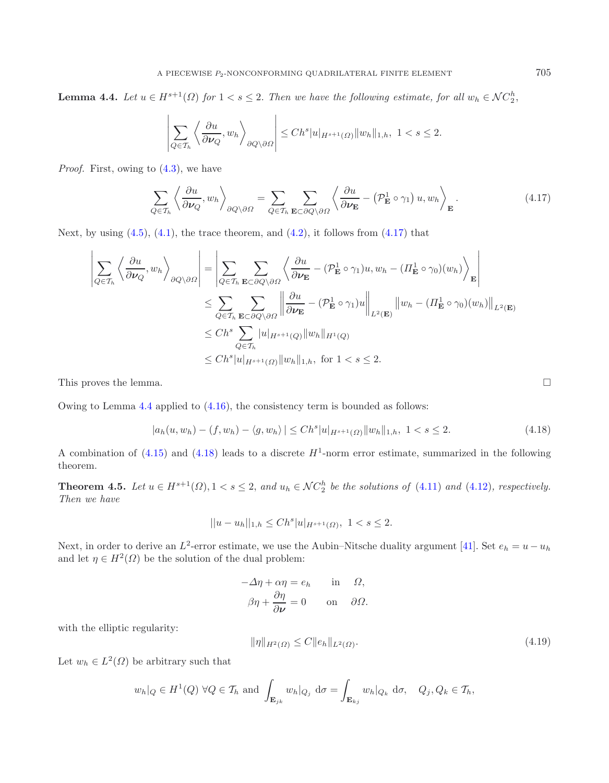**Lemma 4.4.** *Let*  $u \in H^{s+1}(\Omega)$  *for*  $1 < s \leq 2$ . *Then we have the following estimate, for all*  $w_h \in \mathcal{NC}_2^h$ ,

<span id="page-16-0"></span>
$$
\left|\sum_{Q\in\mathcal{T}_h}\left\langle\frac{\partial u}{\partial\boldsymbol{\nu}_Q},w_h\right\rangle_{\partial Q\setminus\partial\Omega}\right|\leq Ch^s|u|_{H^{s+1}(\Omega)}\|w_h\|_{1,h},\ 1
$$

*Proof.* First, owing to [\(4.3\)](#page-13-0), we have

$$
\sum_{Q \in \mathcal{T}_h} \left\langle \frac{\partial u}{\partial \nu_Q}, w_h \right\rangle_{\partial Q \setminus \partial \Omega} = \sum_{Q \in \mathcal{T}_h} \sum_{\mathbf{E} \subset \partial Q \setminus \partial \Omega} \left\langle \frac{\partial u}{\partial \nu_{\mathbf{E}}} - \left( \mathcal{P}_{\mathbf{E}}^1 \circ \gamma_1 \right) u, w_h \right\rangle_{\mathbf{E}}.
$$
\n(4.17)

Next, by using  $(4.5)$ ,  $(4.1)$ , the trace theorem, and  $(4.2)$ , it follows from  $(4.17)$  that

$$
\left| \sum_{Q \in \mathcal{T}_h} \left\langle \frac{\partial u}{\partial \nu_Q}, w_h \right\rangle_{\partial Q \setminus \partial \Omega} \right| = \left| \sum_{Q \in \mathcal{T}_h} \sum_{\mathbf{E} \subset \partial Q \setminus \partial \Omega} \left\langle \frac{\partial u}{\partial \nu_{\mathbf{E}}} - (\mathcal{P}_{\mathbf{E}}^1 \circ \gamma_1) u, w_h - (\Pi_{\mathbf{E}}^1 \circ \gamma_0) (w_h) \right\rangle_{\mathbf{E}} \right|
$$
  
\n
$$
\leq \sum_{Q \in \mathcal{T}_h} \sum_{\mathbf{E} \subset \partial Q \setminus \partial \Omega} \left\| \frac{\partial u}{\partial \nu_{\mathbf{E}}} - (\mathcal{P}_{\mathbf{E}}^1 \circ \gamma_1) u \right\|_{L^2(\mathbf{E})} \left\| w_h - (\Pi_{\mathbf{E}}^1 \circ \gamma_0) (w_h) \right\|_{L^2(\mathbf{E})}
$$
  
\n
$$
\leq Ch^s \sum_{Q \in \mathcal{T}_h} |u|_{H^{s+1}(Q)} \|w_h\|_{H^1(Q)}
$$
  
\n
$$
\leq Ch^s |u|_{H^{s+1}(Q)} \|w_h\|_{1,h}, \text{ for } 1 < s \leq 2.
$$

<span id="page-16-3"></span>This proves the lemma.

Owing to Lemma [4.4](#page-15-5) applied to [\(4.16\)](#page-15-6), the consistency term is bounded as follows:

$$
|a_h(u, w_h) - (f, w_h) - \langle g, w_h \rangle| \le Ch^s |u|_{H^{s+1}(\Omega)} \|w_h\|_{1,h}, \ 1 < s \le 2. \tag{4.18}
$$

<span id="page-16-1"></span>A combination of  $(4.15)$  and  $(4.18)$  leads to a discrete  $H^1$ -norm error estimate, summarized in the following theorem.

<span id="page-16-2"></span>**Theorem 4.5.** *Let*  $u \in H^{s+1}(\Omega)$ ,  $1 < s \le 2$ , and  $u_h \in \mathcal{NC}_2^h$  be the solutions of [\(4.11\)](#page-15-1) and [\(4.12\)](#page-15-2), respectively.<br>Then we have *Then we have*

$$
||u - u_h||_{1,h} \le Ch^s |u|_{H^{s+1}(\Omega)}, \ 1 < s \le 2.
$$

Next, in order to derive an L<sup>2</sup>-error estimate, we use the Aubin–Nitsche duality argument [\[41\]](#page-25-25). Set  $e_h = u - u_h$ and let  $\eta \in H^2(\Omega)$  be the solution of the dual problem:

$$
-\Delta \eta + \alpha \eta = e_h \quad \text{in} \quad \Omega,
$$
  

$$
\beta \eta + \frac{\partial \eta}{\partial \nu} = 0 \quad \text{on} \quad \partial \Omega.
$$

with the elliptic regularity:

$$
\|\eta\|_{H^2(\Omega)} \le C \|e_h\|_{L^2(\Omega)}.
$$
\n(4.19)

Let  $w_h \in L^2(\Omega)$  be arbitrary such that

$$
w_h|_Q \in H^1(Q) \,\,\forall Q \in \mathcal{T}_h
$$
 and  $\int_{\mathbf{E}_{jk}} w_h|_{Q_j} \,d\sigma = \int_{\mathbf{E}_{kj}} w_h|_{Q_k} \,d\sigma$ ,  $Q_j, Q_k \in \mathcal{T}_h$ ,

 $\Box$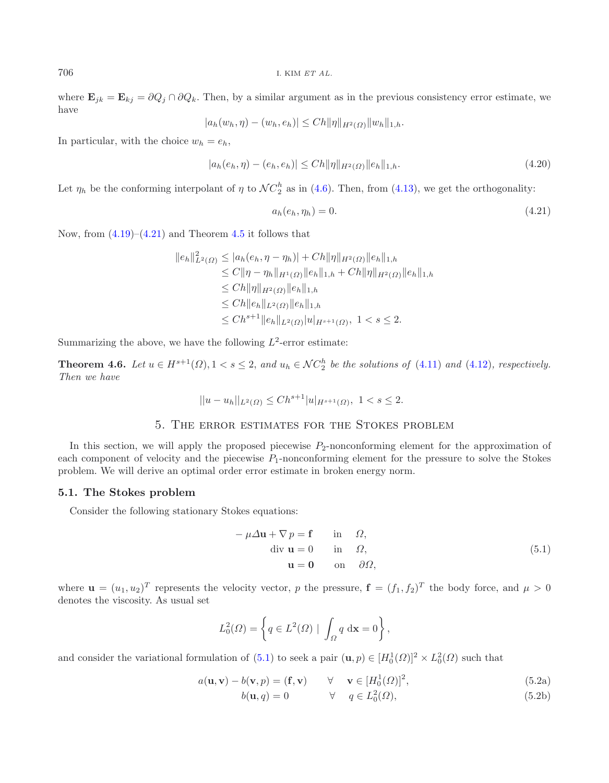where  $\mathbf{E}_{jk} = \mathbf{E}_{kj} = \partial Q_j \cap \partial Q_k$ . Then, by a similar argument as in the previous consistency error estimate, we have

$$
|a_h(w_h, \eta) - (w_h, e_h)| \leq Ch ||\eta||_{H^2(\Omega)} ||w_h||_{1,h}.
$$

In particular, with the choice  $w_h = e_h$ ,

$$
|a_h(e_h, \eta) - (e_h, e_h)| \le Ch \|\eta\|_{H^2(\Omega)} \|e_h\|_{1,h}.
$$
\n(4.20)

Let  $\eta_h$  be the conforming interpolant of  $\eta$  to  $\mathcal{NC}_2^n$  as in [\(4.6\)](#page-14-1). Then, from [\(4.13\)](#page-15-7), we get the orthogonality:

<span id="page-17-0"></span>
$$
a_h(e_h, \eta_h) = 0. \tag{4.21}
$$

Now, from  $(4.19)$ – $(4.21)$  and Theorem [4.5](#page-16-3) it follows that

$$
||e_h||_{L^2(\Omega)}^2 \le |a_h(e_h, \eta - \eta_h)| + Ch||\eta||_{H^2(\Omega)}||e_h||_{1,h}
$$
  
\n
$$
\le C||\eta - \eta_h||_{H^1(\Omega)}||e_h||_{1,h} + Ch||\eta||_{H^2(\Omega)}||e_h||_{1,h}
$$
  
\n
$$
\le Ch||\eta||_{H^2(\Omega)}||e_h||_{1,h}
$$
  
\n
$$
\le Ch||e_h||_{L^2(\Omega)}||e_h||_{1,h}
$$
  
\n
$$
\le Ch^{s+1}||e_h||_{L^2(\Omega)}|u|_{H^{s+1}(\Omega)}, 1 < s \le 2.
$$

Summarizing the above, we have the following  $L^2$ -error estimate:

**Theorem 4.6.** *Let*  $u \in H^{s+1}(\Omega)$ ,  $1 < s \leq 2$ , and  $u_h \in \mathcal{NC}_2^h$  be the solutions of [\(4.11\)](#page-15-1) and [\(4.12\)](#page-15-2), respectively.<br>Then we have *Then we have*

$$
||u - u_h||_{L^2(\Omega)} \le Ch^{s+1} |u|_{H^{s+1}(\Omega)}, \ 1 < s \le 2.
$$

## 5. The error estimates for the Stokes problem

In this section, we will apply the proposed piecewise  $P_2$ -nonconforming element for the approximation of each component of velocity and the piecewise  $P_1$ -nonconforming element for the pressure to solve the Stokes problem. We will derive an optimal order error estimate in broken energy norm.

#### **5.1. The Stokes problem**

Consider the following stationary Stokes equations:

<span id="page-17-1"></span>
$$
-\mu \Delta \mathbf{u} + \nabla p = \mathbf{f} \quad \text{in} \quad \Omega,
$$
  
div  $\mathbf{u} = 0$  in  $\Omega$ ,  
 $\mathbf{u} = \mathbf{0} \quad \text{on} \quad \partial \Omega,$  (5.1)

where  $\mathbf{u} = (u_1, u_2)^T$  represents the velocity vector, p the pressure,  $\mathbf{f} = (f_1, f_2)^T$  the body force, and  $\mu > 0$ denotes the viscosity. As usual set

$$
L_0^2(\Omega) = \left\{ q \in L^2(\Omega) \mid \int_{\Omega} q \, \mathrm{d}\mathbf{x} = 0 \right\},\,
$$

and consider the variational formulation of  $(5.1)$  to seek a pair  $(\mathbf{u}, p) \in [H_0^1(\Omega)]^2 \times L_0^2(\Omega)$  such that

$$
a(\mathbf{u}, \mathbf{v}) - b(\mathbf{v}, p) = (\mathbf{f}, \mathbf{v}) \qquad \forall \quad \mathbf{v} \in [H_0^1(\Omega)]^2,
$$
(5.2a)

$$
b(\mathbf{u}, q) = 0 \qquad \forall \quad q \in L_0^2(\Omega), \tag{5.2b}
$$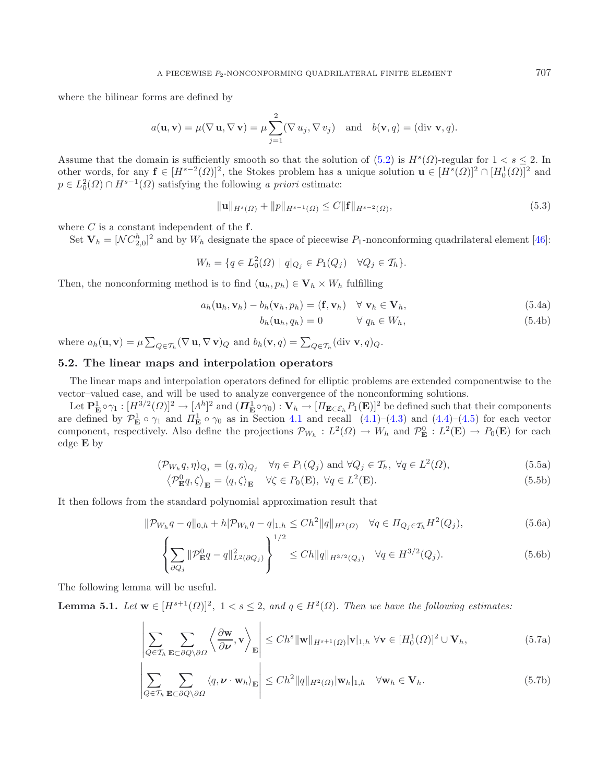where the bilinear forms are defined by

<span id="page-18-1"></span>
$$
a(\mathbf{u}, \mathbf{v}) = \mu(\nabla \mathbf{u}, \nabla \mathbf{v}) = \mu \sum_{j=1}^{2} (\nabla u_j, \nabla v_j)
$$
 and  $b(\mathbf{v}, q) = (\text{div } \mathbf{v}, q).$ 

Assume that the domain is sufficiently smooth so that the solution of [\(5.2\)](#page-17-1) is  $H^s(\Omega)$ -regular for  $1 < s \leq 2$ . In other words for any  $\mathbf{f} \in [H^{s-2}(\Omega)]^2$  the Stokes problem has a unique solution  $\mathbf{u} \in [H^s(\Omega)]^2 \cap [H$ other words, for any  $\mathbf{f} \in [H^{s-2}(\Omega)]^2$ , the Stokes problem has a unique solution  $\mathbf{u} \in [H^s(\Omega)]^2 \cap [H_0^1(\Omega)]^2$  and  $n \in L^2(\Omega) \cap H^{s-1}(\Omega)$  satisfying the following a priori estimate:  $p \in L_0^2(\Omega) \cap H^{s-1}(\Omega)$  satisfying the following *a priori* estimate:

$$
\|\mathbf{u}\|_{H^s(\Omega)} + \|p\|_{H^{s-1}(\Omega)} \le C \|\mathbf{f}\|_{H^{s-2}(\Omega)},\tag{5.3}
$$

where C is a constant independent of the **<sup>f</sup>**.

Set  $\mathbf{V}_h = [NC_{2,0}^h]^2$  and by  $W_h$  designate the space of piecewise  $P_1$ -nonconforming quadrilateral element [\[46](#page-26-9)]:

$$
W_h = \{ q \in L_0^2(\Omega) \mid q|_{Q_j} \in P_1(Q_j) \quad \forall Q_j \in \mathcal{T}_h \}.
$$

Then, the nonconforming method is to find  $(\mathbf{u}_h, p_h) \in \mathbf{V}_h \times W_h$  fulfilling

$$
a_h(\mathbf{u}_h, \mathbf{v}_h) - b_h(\mathbf{v}_h, p_h) = (\mathbf{f}, \mathbf{v}_h) \quad \forall \mathbf{v}_h \in \mathbf{V}_h,
$$
\n(5.4a)

<span id="page-18-2"></span> $b_h(\mathbf{u}_h, q_h) = 0 \qquad \forall \ q_h \in W_h,$  (5.4b)

where  $a_h(\mathbf{u}, \mathbf{v}) = \mu \sum_{Q \in \mathcal{T}_h} (\nabla \mathbf{u}, \nabla \mathbf{v})_Q$  and  $b_h(\mathbf{v}, q) = \sum_{Q \in \mathcal{T}_h} (\text{div } \mathbf{v}, q)_Q$ .

## **5.2. The linear maps and interpolation operators**

The linear maps and interpolation operators defined for elliptic problems are extended componentwise to the vector–valued case, and will be used to analyze convergence of the nonconforming solutions.

Let  $\mathbf{P}_{\mathbf{E}}^1 \circ \gamma_1 : [H^{3/2}(\Omega)]^2 \to [A^h]^2$  and  $(\mathbf{\Pi}_{\mathbf{E}}^1 \circ \gamma_0) : \mathbf{V}_h \to [H_{\mathbf{E} \in \mathcal{E}_h} P_1(\mathbf{E})]^2$  be defined such that their components<br>are defined by  $\mathcal{P}_{\mathbf{E}}^1 \circ \gamma_1$  and  $H_{\mathbf{E}}^1 \circ \gamma_0$  as in component, respectively. Also define the projections  $\mathcal{P}_{W_h}: L^2(\Omega) \to W_h$  and  $\mathcal{P}_{\mathbf{E}}^0: L^2(\mathbf{E}) \to P_0(\mathbf{E})$  for each edge **E** by edge **E** by

<span id="page-18-0"></span>
$$
(\mathcal{P}_{W_h} q, \eta)_{Q_j} = (q, \eta)_{Q_j} \quad \forall \eta \in P_1(Q_j) \text{ and } \forall Q_j \in \mathcal{T}_h, \ \forall q \in L^2(\Omega),
$$
\n
$$
(\mathcal{P}_{W_h} q, \eta)_{Q_j} = (q, \eta)_{Q_j} \quad \forall \eta \in P_1(\Omega) \ \forall \eta \in L^2(\Omega)
$$
\n
$$
(5.5a)
$$

$$
\left\langle \mathcal{P}_{\mathbf{E}}^0 q, \zeta \right\rangle_{\mathbf{E}} = \left\langle q, \zeta \right\rangle_{\mathbf{E}} \quad \forall \zeta \in P_0(\mathbf{E}), \ \forall q \in L^2(\mathbf{E}). \tag{5.5b}
$$

It then follows from the standard polynomial approximation result that

$$
\|\mathcal{P}_{W_h}q - q\|_{0,h} + h|\mathcal{P}_{W_h}q - q|_{1,h} \le Ch^2 \|q\|_{H^2(\Omega)} \quad \forall q \in \Pi_{Q_j \in \mathcal{T}_h} H^2(Q_j),
$$
\n(5.6a)

$$
\left\{\sum_{\partial Q_j} \|\mathcal{P}_{\mathbf{E}}^0 q - q\|_{L^2(\partial Q_j)}^2 \right\}^{1/2} \le Ch \|q\|_{H^{3/2}(Q_j)} \quad \forall q \in H^{3/2}(Q_j). \tag{5.6b}
$$

The following lemma will be useful.

# # # # #  $\begin{array}{c} \hline \end{array}$ 

**Lemma 5.1.** *Let*  $\mathbf{w} \in [H^{s+1}(\Omega)]^2$ ,  $1 < s \leq 2$ , and  $q \in H^2(\Omega)$ . *Then we have the following estimates:* 

$$
\left|\sum_{Q\in\mathcal{T}_h}\sum_{\mathbf{E}\subset\partial Q\setminus\partial\Omega}\left\langle\frac{\partial\mathbf{w}}{\partial\boldsymbol{\nu}},\mathbf{v}\right\rangle_{\mathbf{E}}\right|\leq Ch^s\|\mathbf{w}\|_{H^{s+1}(\Omega)}|\mathbf{v}|_{1,h}\,\,\forall\mathbf{v}\in[H_0^1(\Omega)]^2\cup\mathbf{V}_h,\tag{5.7a}
$$

$$
\sum_{Q \in \mathcal{T}_h} \sum_{\mathbf{E} \subset \partial Q \setminus \partial \Omega} \langle q, \nu \cdot \mathbf{w}_h \rangle_{\mathbf{E}} \Bigg| \le Ch^2 \|q\|_{H^2(\Omega)} |\mathbf{w}_h|_{1,h} \quad \forall \mathbf{w}_h \in \mathbf{V}_h.
$$
\n(5.7b)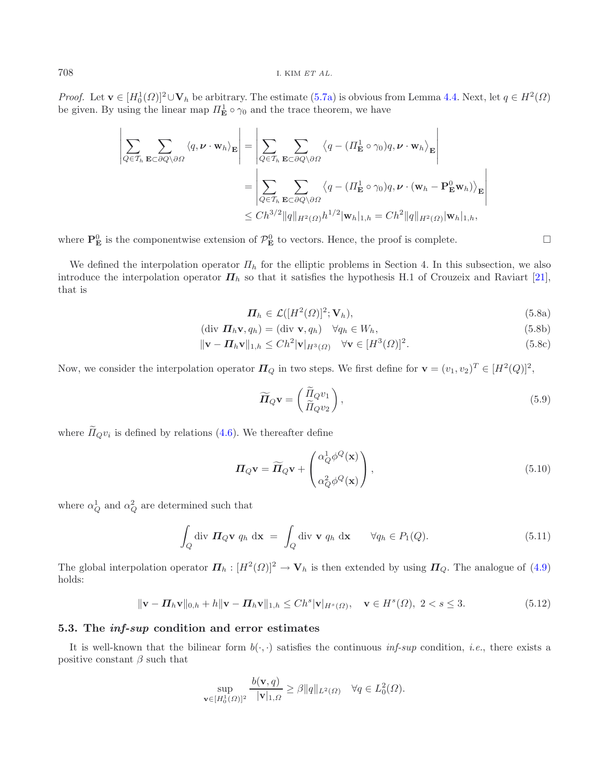*Proof.* Let  $\mathbf{v} \in [H_0^1(\Omega)]^2 \cup \mathbf{V}_h$  be arbitrary. The estimate [\(5.7a\)](#page-18-0) is obvious from Lemma [4.4.](#page-15-5) Next, let  $q \in H^2(\Omega)$  be given. By using the linear map  $H_0^1 \circ \infty$  and the trace theorem, we have be given. By using the linear map  $\Pi_{\mathbf{E}}^1 \circ \gamma_0$  and the trace theorem, we have

$$
\left| \sum_{Q \in \mathcal{T}_h} \sum_{\mathbf{E} \subset \partial Q \setminus \partial \Omega} \langle q, \nu \cdot \mathbf{w}_h \rangle_{\mathbf{E}} \right| = \left| \sum_{Q \in \mathcal{T}_h} \sum_{\mathbf{E} \subset \partial Q \setminus \partial \Omega} \langle q - (H_{\mathbf{E}}^1 \circ \gamma_0) q, \nu \cdot \mathbf{w}_h \rangle_{\mathbf{E}} \right|
$$
  
\n
$$
= \left| \sum_{Q \in \mathcal{T}_h} \sum_{\mathbf{E} \subset \partial Q \setminus \partial \Omega} \langle q - (H_{\mathbf{E}}^1 \circ \gamma_0) q, \nu \cdot (\mathbf{w}_h - \mathbf{P}_{\mathbf{E}}^0 \mathbf{w}_h) \rangle_{\mathbf{E}} \right|
$$
  
\n
$$
\leq Ch^{3/2} \|q\|_{H^2(\Omega)} h^{1/2} |\mathbf{w}_h|_{1,h} = Ch^2 \|q\|_{H^2(\Omega)} |\mathbf{w}_h|_{1,h},
$$

where  $\mathbf{P}_{\mathbf{E}}^0$  is the componentwise extension of  $\mathcal{P}_{\mathbf{E}}^0$  to vectors. Hence, the proof is complete.

We defined the interpolation operator  $\Pi_h$  for the elliptic problems in Section 4. In this subsection, we also introduce the interpolation operator  $\Pi_h$  so that it satisfies the hypothesis H.1 of Crouzeix and Raviart [\[21](#page-25-13)], that is

$$
\boldsymbol{\Pi}_h \in \mathcal{L}([H^2(\Omega)]^2; \mathbf{V}_h),\tag{5.8a}
$$

 $\Box$ 

$$
(\text{div } \Pi_h \mathbf{v}, q_h) = (\text{div } \mathbf{v}, q_h) \quad \forall q_h \in W_h,
$$
\n
$$
(5.8b)
$$

$$
\|\mathbf{v} - \mathbf{\Pi}_h \mathbf{v}\|_{1,h} \le C h^2 |\mathbf{v}|_{H^3(\Omega)} \quad \forall \mathbf{v} \in [H^3(\Omega)]^2. \tag{5.8c}
$$

Now, we consider the interpolation operator  $\Pi_Q$  in two steps. We first define for  $\mathbf{v} = (v_1, v_2)^T \in [H^2(Q)]^2$ ,

$$
\widetilde{\boldsymbol{\Pi}}_{Q}\mathbf{v} = \begin{pmatrix} \widetilde{\Pi}_{Q}v_{1} \\ \widetilde{\Pi}_{Q}v_{2} \end{pmatrix},\tag{5.9}
$$

where  $\widetilde{\Pi}_Q v_i$  is defined by relations [\(4.6\)](#page-14-1). We thereafter define

$$
\boldsymbol{\Pi}_{Q}\mathbf{v} = \widetilde{\boldsymbol{\Pi}}_{Q}\mathbf{v} + \begin{pmatrix} \alpha_{Q}^{1} \phi^{Q}(\mathbf{x}) \\ \alpha_{Q}^{2} \phi^{Q}(\mathbf{x}) \end{pmatrix},
$$
\n(5.10)

where  $\alpha_Q^1$  and  $\alpha_Q^2$  are determined such that

$$
\int_{Q} \operatorname{div} \mathbf{\Pi}_{Q} \mathbf{v} \ q_{h} \ d\mathbf{x} = \int_{Q} \operatorname{div} \mathbf{v} \ q_{h} \ d\mathbf{x} \qquad \forall q_{h} \in P_{1}(Q). \tag{5.11}
$$

The global interpolation operator  $\Pi_h : [H^2(\Omega)]^2 \to V_h$  is then extended by using  $\Pi_Q$ . The analogue of [\(4.9\)](#page-14-0) holds:

$$
\|\mathbf{v} - \mathbf{\Pi}_h \mathbf{v}\|_{0,h} + h \|\mathbf{v} - \mathbf{\Pi}_h \mathbf{v}\|_{1,h} \le Ch^s |\mathbf{v}|_{H^s(\Omega)}, \quad \mathbf{v} \in H^s(\Omega), \ 2 < s \le 3. \tag{5.12}
$$

#### <span id="page-19-0"></span>**5.3. The** *inf-sup* **condition and error estimates**

It is well-known that the bilinear form  $b(\cdot, \cdot)$  satisfies the continuous *inf-sup* condition, *i.e.*, there exists a positive constant  $\beta$  such that

$$
\sup_{\mathbf{v}\in[H_0^1(\Omega)]^2}\frac{b(\mathbf{v},q)}{|\mathbf{v}|_{1,\Omega}}\geq\beta\|q\|_{L^2(\Omega)}\quad\forall q\in L^2_0(\Omega).
$$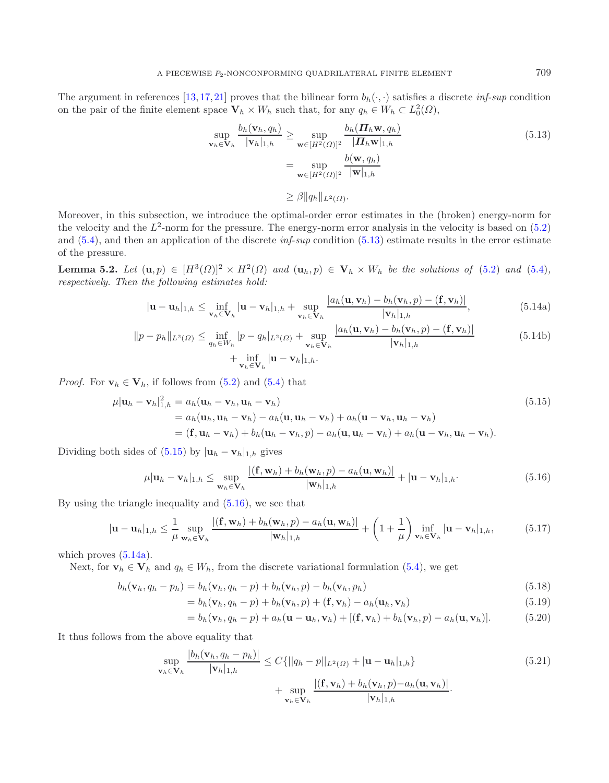<span id="page-20-3"></span>The argument in references [\[13,](#page-25-1)[17,](#page-25-12)[21](#page-25-13)] proves that the bilinear form  $b_h(\cdot, \cdot)$  satisfies a discrete *inf-sup* condition on the pair of the finite element space  $\mathbf{V}_h \times W_h$  such that, for any  $q_h \in W_h \subset L_0^2(\Omega)$ ,

<span id="page-20-0"></span>
$$
\sup_{\mathbf{v}_h \in \mathbf{V}_h} \frac{b_h(\mathbf{v}_h, q_h)}{|\mathbf{v}_h|_{1,h}} \ge \sup_{\mathbf{w} \in [H^2(\Omega)]^2} \frac{b_h(\boldsymbol{\Pi}_h \mathbf{w}, q_h)}{|\boldsymbol{\Pi}_h \mathbf{w}|_{1,h}}
$$
\n
$$
= \sup_{\mathbf{w} \in [H^2(\Omega)]^2} \frac{b(\mathbf{w}, q_h)}{|\mathbf{w}|_{1,h}}
$$
\n
$$
\ge \beta ||q_h||_{L^2(\Omega)}.
$$
\n(5.13)

Moreover, in this subsection, we introduce the optimal-order error estimates in the (broken) energy-norm for the velocity and the  $L^2$ -norm for the pressure. The energy-norm error analysis in the velocity is based on  $(5.2)$ and [\(5.4\)](#page-18-1), and then an application of the discrete *inf-sup* condition [\(5.13\)](#page-20-0) estimate results in the error estimate of the pressure.

**Lemma 5.2.** *Let*  $(\mathbf{u}, p) \in [H^3(\Omega)]^2 \times H^2(\Omega)$  *and*  $(\mathbf{u}_h, p) \in \mathbf{V}_h \times W_h$  *be the solutions of* [\(5.2\)](#page-17-1) *and* [\(5.4\)](#page-18-1)*, respectively. Then the following estimates hold:*

$$
|\mathbf{u}-\mathbf{u}_h|_{1,h} \leq \inf_{\mathbf{v}_h \in \mathbf{V}_h} |\mathbf{u}-\mathbf{v}_h|_{1,h} + \sup_{\mathbf{v}_h \in \mathbf{V}_h} \frac{|a_h(\mathbf{u}, \mathbf{v}_h) - b_h(\mathbf{v}_h, p) - (\mathbf{f}, \mathbf{v}_h)|}{|\mathbf{v}_h|_{1,h}},
$$
(5.14a)

$$
||p - p_h||_{L^2(\Omega)} \le \inf_{q_h \in W_h} |p - q_h|_{L^2(\Omega)} + \sup_{\mathbf{v}_h \in \mathbf{V}_h} \frac{|a_h(\mathbf{u}, \mathbf{v}_h) - b_h(\mathbf{v}_h, p) - (\mathbf{f}, \mathbf{v}_h)|}{|\mathbf{v}_h|_{1,h}} + \inf_{\mathbf{v}_h \in \mathbf{V}_h} |\mathbf{u} - \mathbf{v}_h|_{1,h}.
$$
\n(5.14b)

<span id="page-20-1"></span>*Proof.* For  $\mathbf{v}_h \in \mathbf{V}_h$ , if follows from [\(5.2\)](#page-17-1) and [\(5.4\)](#page-18-1) that

$$
\mu|\mathbf{u}_h - \mathbf{v}_h|_{1,h}^2 = a_h(\mathbf{u}_h - \mathbf{v}_h, \mathbf{u}_h - \mathbf{v}_h)
$$
\n
$$
= a_h(\mathbf{u}_h, \mathbf{u}_h - \mathbf{v}_h) - a_h(\mathbf{u}, \mathbf{u}_h - \mathbf{v}_h) + a_h(\mathbf{u} - \mathbf{v}_h, \mathbf{u}_h - \mathbf{v}_h)
$$
\n
$$
= (\mathbf{f}, \mathbf{u}_h - \mathbf{v}_h) + b_h(\mathbf{u}_h - \mathbf{v}_h, p) - a_h(\mathbf{u}, \mathbf{u}_h - \mathbf{v}_h) + a_h(\mathbf{u} - \mathbf{v}_h, \mathbf{u}_h - \mathbf{v}_h).
$$
\n(5.15)

<span id="page-20-2"></span>Dividing both sides of  $(5.15)$  by  $|\mathbf{u}_h - \mathbf{v}_h|_{1,h}$  gives

$$
\mu|\mathbf{u}_h - \mathbf{v}_h|_{1,h} \leq \sup_{\mathbf{w}_h \in \mathbf{V}_h} \frac{|(\mathbf{f}, \mathbf{w}_h) + b_h(\mathbf{w}_h, p) - a_h(\mathbf{u}, \mathbf{w}_h)|}{|\mathbf{w}_h|_{1,h}} + |\mathbf{u} - \mathbf{v}_h|_{1,h}.
$$
(5.16)

By using the triangle inequality and [\(5.16\)](#page-20-2), we see that

$$
|\mathbf{u}-\mathbf{u}_h|_{1,h} \leq \frac{1}{\mu} \sup_{\mathbf{w}_h \in \mathbf{V}_h} \frac{|(\mathbf{f}, \mathbf{w}_h) + b_h(\mathbf{w}_h, p) - a_h(\mathbf{u}, \mathbf{w}_h)|}{|\mathbf{w}_h|_{1,h}} + \left(1 + \frac{1}{\mu}\right) \inf_{\mathbf{v}_h \in \mathbf{V}_h} |\mathbf{u}-\mathbf{v}_h|_{1,h}, \tag{5.17}
$$

which proves  $(5.14a)$ .

Next, for  $\mathbf{v}_h \in \mathbf{V}_h$  and  $q_h \in W_h$ , from the discrete variational formulation [\(5.4\)](#page-18-1), we get

$$
b_h(\mathbf{v}_h, q_h - p_h) = b_h(\mathbf{v}_h, q_h - p) + b_h(\mathbf{v}_h, p) - b_h(\mathbf{v}_h, p_h)
$$
(5.18)

$$
= b_h(\mathbf{v}_h, q_h - p) + b_h(\mathbf{v}_h, p) + (\mathbf{f}, \mathbf{v}_h) - a_h(\mathbf{u}_h, \mathbf{v}_h)
$$
(5.19)

$$
=b_h(\mathbf{v}_h,q_h-p)+a_h(\mathbf{u}-\mathbf{u}_h,\mathbf{v}_h)+[(\mathbf{f},\mathbf{v}_h)+b_h(\mathbf{v}_h,p)-a_h(\mathbf{u},\mathbf{v}_h)].
$$
 (5.20)

<span id="page-20-4"></span>It thus follows from the above equality that

$$
\sup_{\mathbf{v}_h \in \mathbf{V}_h} \frac{|b_h(\mathbf{v}_h, q_h - p_h)|}{|\mathbf{v}_h|_{1,h}} \le C\{||q_h - p||_{L^2(\Omega)} + |\mathbf{u} - \mathbf{u}_h|_{1,h}\} + \sup_{\mathbf{v}_h \in \mathbf{V}_h} \frac{|(\mathbf{f}, \mathbf{v}_h) + b_h(\mathbf{v}_h, p) - a_h(\mathbf{u}, \mathbf{v}_h)|}{|\mathbf{v}_h|_{1,h}}.
$$
\n(5.21)

<span id="page-20-5"></span>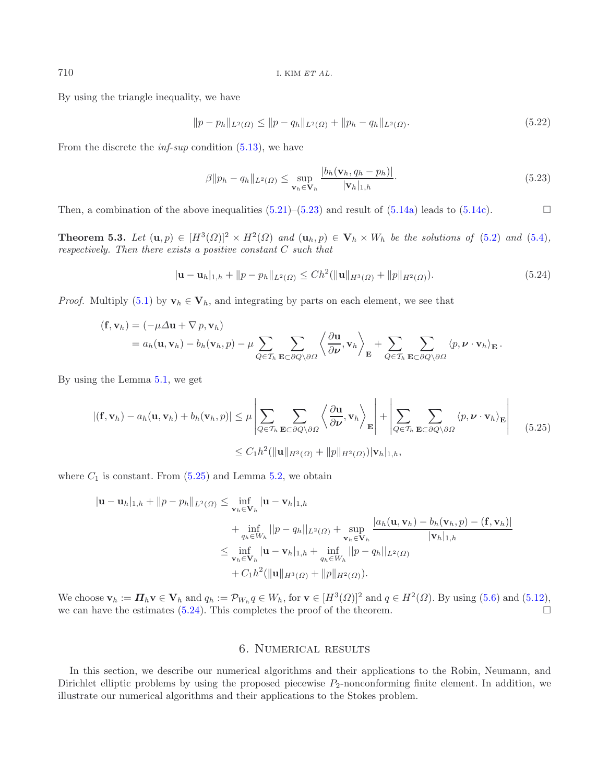By using the triangle inequality, we have

$$
||p - p_h||_{L^2(\Omega)} \le ||p - q_h||_{L^2(\Omega)} + ||p_h - q_h||_{L^2(\Omega)}.
$$
\n(5.22)

From the discrete the *inf-sup* condition [\(5.13\)](#page-20-0), we have

<span id="page-21-0"></span>
$$
\beta \| p_h - q_h \|_{L^2(\Omega)} \le \sup_{\mathbf{v}_h \in \mathbf{V}_h} \frac{|b_h(\mathbf{v}_h, q_h - p_h)|}{|\mathbf{v}_h|_{1,h}}.
$$
\n(5.23)

Then, a combination of the above inequalities  $(5.21)$ – $(5.23)$  and result of  $(5.14a)$  leads to  $(5.14c)$ .  $\Box$ 

**Theorem 5.3.** *Let*  $(\mathbf{u}, p) \in [H^3(\Omega)]^2 \times H^2(\Omega)$  *and*  $(\mathbf{u}_h, p) \in \mathbf{V}_h \times W_h$  *be the solutions of* [\(5.2\)](#page-17-1) *and* [\(5.4\)](#page-18-1)*, respectively. Then there exists a positive constant* C *such that*

$$
|\mathbf{u} - \mathbf{u}_h|_{1,h} + ||p - p_h||_{L^2(\Omega)} \le Ch^2(||\mathbf{u}||_{H^3(\Omega)} + ||p||_{H^2(\Omega)}).
$$
\n(5.24)

<span id="page-21-2"></span>*Proof.* Multiply [\(5.1\)](#page-17-1) by  $\mathbf{v}_h \in \mathbf{V}_h$ , and integrating by parts on each element, we see that

$$
(\mathbf{f}, \mathbf{v}_h) = (-\mu \Delta \mathbf{u} + \nabla p, \mathbf{v}_h)
$$
  
=  $a_h(\mathbf{u}, \mathbf{v}_h) - b_h(\mathbf{v}_h, p) - \mu \sum_{Q \in \mathcal{T}_h} \sum_{\mathbf{E} \subset \partial Q \setminus \partial \Omega} \left\langle \frac{\partial \mathbf{u}}{\partial \nu}, \mathbf{v}_h \right\rangle_{\mathbf{E}} + \sum_{Q \in \mathcal{T}_h} \sum_{\mathbf{E} \subset \partial Q \setminus \partial \Omega} \left\langle p, \nu \cdot \mathbf{v}_h \right\rangle_{\mathbf{E}}.$ 

<span id="page-21-1"></span>By using the Lemma [5.1,](#page-18-0) we get

$$
|(\mathbf{f}, \mathbf{v}_h) - a_h(\mathbf{u}, \mathbf{v}_h) + b_h(\mathbf{v}_h, p)| \le \mu \left| \sum_{Q \in \mathcal{T}_h} \sum_{\mathbf{E} \subset \partial Q \setminus \partial \Omega} \left\langle \frac{\partial \mathbf{u}}{\partial \nu}, \mathbf{v}_h \right\rangle_{\mathbf{E}} \right| + \left| \sum_{Q \in \mathcal{T}_h} \sum_{\mathbf{E} \subset \partial Q \setminus \partial \Omega} \left\langle p, \nu \cdot \mathbf{v}_h \right\rangle_{\mathbf{E}} \right|
$$
(5.25)  
 
$$
\le C_1 h^2 (\|\mathbf{u}\|_{H^3(\Omega)} + \|p\|_{H^2(\Omega)}) |\mathbf{v}_h|_{1,h},
$$

where  $C_1$  is constant. From  $(5.25)$  and Lemma [5.2,](#page-20-3) we obtain

$$
|\mathbf{u} - \mathbf{u}_h|_{1,h} + ||p - p_h||_{L^2(\Omega)} \le \inf_{\mathbf{v}_h \in \mathbf{V}_h} |\mathbf{u} - \mathbf{v}_h|_{1,h} + \inf_{q_h \in W_h} ||p - q_h||_{L^2(\Omega)} + \sup_{\mathbf{v}_h \in \mathbf{V}_h} \frac{|a_h(\mathbf{u}, \mathbf{v}_h) - b_h(\mathbf{v}_h, p) - (\mathbf{f}, \mathbf{v}_h)|}{|\mathbf{v}_h|_{1,h}} \le \inf_{\mathbf{v}_h \in \mathbf{V}_h} |\mathbf{u} - \mathbf{v}_h|_{1,h} + \inf_{q_h \in W_h} ||p - q_h||_{L^2(\Omega)} + C_1 h^2(||\mathbf{u}||_{H^3(\Omega)} + ||p||_{H^2(\Omega)}).
$$

We choose  $\mathbf{v}_h := \mathbf{\Pi}_h \mathbf{v} \in \mathbf{V}_h$  and  $q_h := \mathcal{P}_{W_h} q \in W_h$ , for  $\mathbf{v} \in [H^3(\Omega)]^2$  and  $q \in H^2(\Omega)$ . By using [\(5.6\)](#page-18-2) and [\(5.12\)](#page-19-0), we can have the estimates (5.24). This completes the proof of the theorem. we can have the estimates  $(5.24)$ . This completes the proof of the theorem.

## 6. Numerical results

In this section, we describe our numerical algorithms and their applications to the Robin, Neumann, and Dirichlet elliptic problems by using the proposed piecewise  $P_2$ -nonconforming finite element. In addition, we illustrate our numerical algorithms and their applications to the Stokes problem.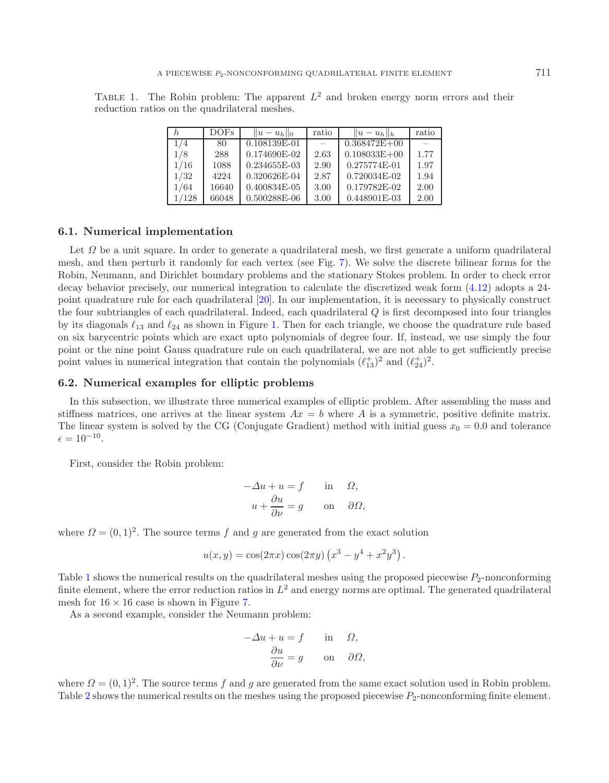<span id="page-22-0"></span>TABLE 1. The Robin problem: The apparent  $L^2$  and broken energy norm errors and their reduction ratios on the quadrilateral meshes.

| h     | <b>DOFs</b> | $  u-u_h  _0$ | ratio | $  u-u_h  _h$    | ratio |
|-------|-------------|---------------|-------|------------------|-------|
| 1/4   | 80          | 0.108139E-01  |       | $0.368472E + 00$ |       |
| 1/8   | 288         | 0.174690E-02  | 2.63  | $0.108033E + 00$ | 1.77  |
| 1/16  | 1088        | 0.234655E-03  | 2.90  | 0.275774E-01     | 1.97  |
| 1/32  | 4224        | 0.320626E-04  | 2.87  | $0.720034E-02$   | 1.94  |
| 1/64  | 16640       | 0.400834E-05  | 3.00  | 0.179782E-02     | 2.00  |
| 1/128 | 66048       | 0.500288E-06  | 3.00  | 0.448901E-03     | 2.00  |

#### **6.1. Numerical implementation**

Let  $\Omega$  be a unit square. In order to generate a quadrilateral mesh, we first generate a uniform quadrilateral mesh, and then perturb it randomly for each vertex (see Fig. [7\)](#page-23-0). We solve the discrete bilinear forms for the Robin, Neumann, and Dirichlet boundary problems and the stationary Stokes problem. In order to check error decay behavior precisely, our numerical integration to calculate the discretized weak form [\(4.12\)](#page-15-2) adopts a 24 point quadrature rule for each quadrilateral [\[20](#page-25-32)]. In our implementation, it is necessary to physically construct the four subtriangles of each quadrilateral. Indeed, each quadrilateral Q is first decomposed into four triangles by its diagonals  $\ell_{13}$  and  $\ell_{24}$  as shown in Figure [1.](#page-3-1) Then for each triangle, we choose the quadrature rule based<br>on six barycentric points which are exact unto polynomials of degree four. If instead, we use simply on six barycentric points which are exact upto polynomials of degree four. If, instead, we use simply the four point or the nine point Gauss quadrature rule on each quadrilateral, we are not able to get sufficiently precise point values in numerical integration that contain the polynomials  $(\ell_{13}^+)^2$  and  $(\ell_{13}^-)^2$  $\ell_{24}^+)^2$ .

## **6.2. Numerical examples for elliptic problems**

In this subsection, we illustrate three numerical examples of elliptic problem. After assembling the mass and stiffness matrices, one arrives at the linear system  $Ax = b$  where A is a symmetric, positive definite matrix. The linear system is solved by the CG (Conjugate Gradient) method with initial guess  $x_0 = 0.0$  and tolerance  $\epsilon = 10^{-10}.$ 

First, consider the Robin problem:

$$
-\Delta u + u = f \quad \text{in} \quad \Omega,
$$
  

$$
u + \frac{\partial u}{\partial \nu} = g \quad \text{on} \quad \partial \Omega,
$$

where  $\Omega = (0, 1)^2$ . The source terms f and g are generated from the exact solution

$$
u(x,y) = \cos(2\pi x)\cos(2\pi y)\left(x^3 - y^4 + x^2y^3\right)
$$

Table [1](#page-22-0) shows the numerical results on the quadrilateral meshes using the proposed piecewise  $P_2$ -nonconforming finite element, where the error reduction ratios in  $L^2$  and energy norms are optimal. The generated quadrilateral mesh for  $16 \times 16$  case is shown in Figure [7.](#page-23-0)

As a second example, consider the Neumann problem:

$$
-\Delta u + u = f \quad \text{in} \quad \Omega,
$$

$$
\frac{\partial u}{\partial \nu} = g \quad \text{on} \quad \partial \Omega,
$$

where  $\Omega = (0, 1)^2$ . The source terms f and g are generated from the same exact solution used in Robin problem. Table [2](#page-23-1) shows the numerical results on the meshes using the proposed piecewise  $P_2$ -nonconforming finite element.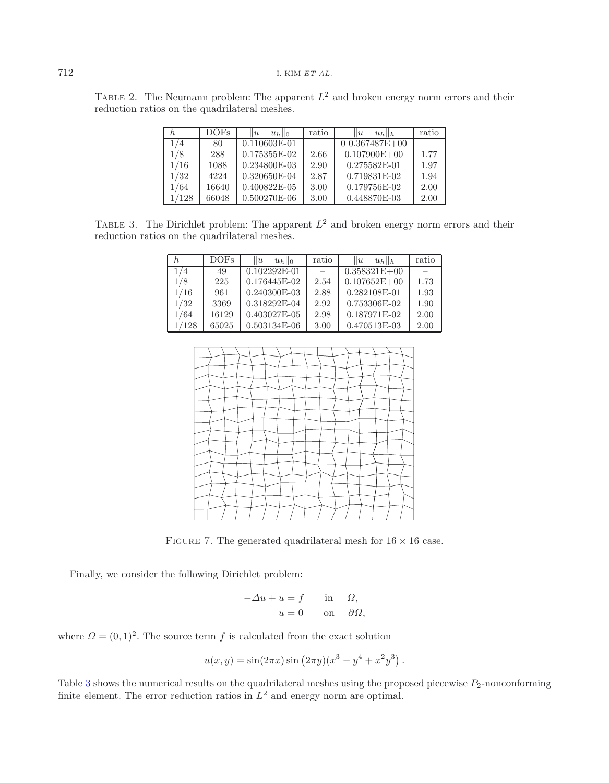<span id="page-23-2"></span><span id="page-23-1"></span>TABLE 2. The Neumann problem: The apparent  $L^2$  and broken energy norm errors and their reduction ratios on the quadrilateral meshes.

| h.    | <b>DOFs</b> | $  u-u_h  _0$  | ratio | $  u-u_h  _h$    | ratio |
|-------|-------------|----------------|-------|------------------|-------|
| 1/4   | 80          | $0.110603E-01$ |       | $0.367487E + 00$ |       |
| 1/8   | 288         | 0.175355E-02   | 2.66  | $0.107900E + 00$ | 1.77  |
| 1/16  | 1088        | 0.234800E-03   | 2.90  | 0.275582E-01     | 1.97  |
| 1/32  | 4224        | 0.320650E-04   | 2.87  | 0.719831E-02     | 1.94  |
| 1/64  | 16640       | 0.400822E-05   | 3.00  | 0.179756E-02     | 2.00  |
| 1/128 | 66048       | 0.500270E-06   | 3.00  | 0.448870E-03     | 2.00  |

TABLE 3. The Dirichlet problem: The apparent  $L^2$  and broken energy norm errors and their reduction ratios on the quadrilateral meshes.

|       | DOFs  | $  u - u_h  _0$ | ratio | $  u-u_h  _h$    | ratio |
|-------|-------|-----------------|-------|------------------|-------|
| 1/4   | 49    | $0.102292E-01$  |       | $0.358321E + 00$ |       |
| 1/8   | 225   | 0.176445E-02    | 2.54  | $0.107652E + 00$ | 1.73  |
| 1/16  | 961   | 0.240300E-03    | 2.88  | 0.282108E-01     | 1.93  |
| 1/32  | 3369  | 0.318292E-04    | 2.92  | 0.753306E-02     | 1.90  |
| 1/64  | 16129 | 0.403027E-05    | 2.98  | 0.187971E-02     | 2.00  |
| 1/128 | 65025 | 0.503134E-06    | 3.00  | 0.470513E-03     | 2.00  |

<span id="page-23-0"></span>

FIGURE 7. The generated quadrilateral mesh for  $16 \times 16$  case.

Finally, we consider the following Dirichlet problem:

$$
-\Delta u + u = f \quad \text{in} \quad \Omega,
$$
  

$$
u = 0 \quad \text{on} \quad \partial \Omega,
$$

where  $\Omega = (0, 1)^2$ . The source term f is calculated from the exact solution

$$
u(x, y) = \sin(2\pi x) \sin (2\pi y) (x^3 - y^4 + x^2 y^3).
$$

Table [3](#page-23-2) shows the numerical results on the quadrilateral meshes using the proposed piecewise  $P_2$ -nonconforming<br>finite element. The error reduction ratios in  $I^2$  and energy norm are optimal finite element. The error reduction ratios in  $L^2$  and energy norm are optimal.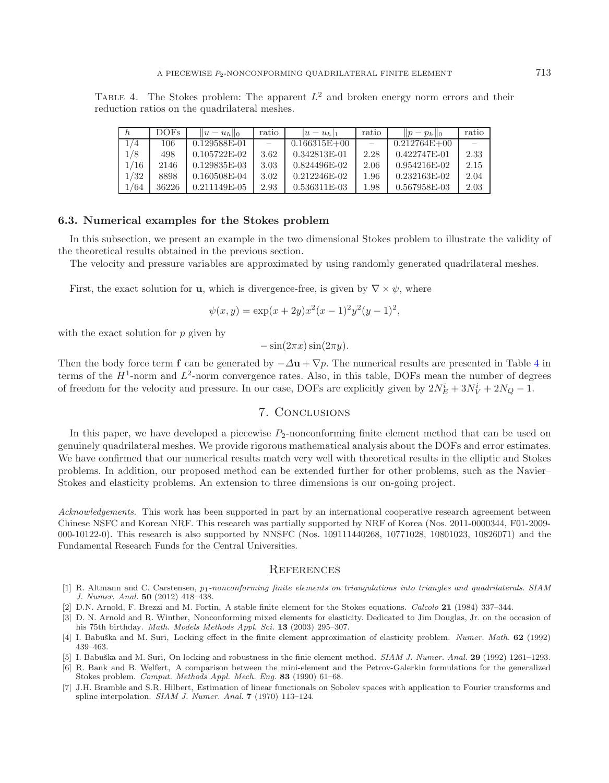<span id="page-24-7"></span>TABLE 4. The Stokes problem: The apparent  $L^2$  and broken energy norm errors and their reduction ratios on the quadrilateral meshes.

|      | <b>DOFs</b> | $  u-u_h  _0$  | ratio | $ u-u_h _1$      | ratio | $  p-p_h  _0$    | ratio |
|------|-------------|----------------|-------|------------------|-------|------------------|-------|
| 1/4  | 106         | 0.129588E-01   |       | $0.166315E + 00$ |       | $0.212764E + 00$ |       |
| 1/8  | 498         | $0.105722E-02$ | 3.62  | 0.342813E-01     | 2.28  | 0.422747E-01     | 2.33  |
| 1/16 | 2146        | 0.129835E-03   | 3.03  | 0.824496E-02     | 2.06  | 0.954216E-02     | 2.15  |
| 1/32 | 8898        | 0.160508E-04   | 3.02  | $0.212246E-02$   | 1.96  | $0.232163E-02$   | 2.04  |
| /64  | 36226       | $0.211149E-05$ | 2.93  | $0.536311E-03$   | 1.98  | 0.567958E-03     | 2.03  |

#### **6.3. Numerical examples for the Stokes problem**

In this subsection, we present an example in the two dimensional Stokes problem to illustrate the validity of the theoretical results obtained in the previous section.

The velocity and pressure variables are approximated by using randomly generated quadrilateral meshes.

First, the exact solution for **u**, which is divergence-free, is given by  $\nabla \times \psi$ , where

$$
\psi(x,y) = \exp(x+2y)x^2(x-1)^2y^2(y-1)^2,
$$

with the exact solution for  $p$  given by

 $-\sin(2\pi x)\sin(2\pi y)$ .

Then the body force term **f** can be generated by  $-\Delta u + \nabla p$ . The numerical results are presented in Table [4](#page-24-7) in terms of the  $H^1$ -norm and  $L^2$ -norm convergence rates. Also, in this table, DOFs mean the number of degrees of freedom for the velocity and pressure. In our case, DOFs are explicitly given by  $2N_E^i + 3N_V^i + 2N_Q - 1$ .

## 7. Conclusions

In this paper, we have developed a piecewise  $P_2$ -nonconforming finite element method that can be used on genuinely quadrilateral meshes. We provide rigorous mathematical analysis about the DOFs and error estimates. We have confirmed that our numerical results match very well with theoretical results in the elliptic and Stokes problems. In addition, our proposed method can be extended further for other problems, such as the Navier– Stokes and elasticity problems. An extension to three dimensions is our on-going project.

*Acknowledgements.* This work has been supported in part by an international cooperative research agreement between Chinese NSFC and Korean NRF. This research was partially supported by NRF of Korea (Nos. 2011-0000344, F01-2009- 000-10122-0). This research is also supported by NNSFC (Nos. 109111440268, 10771028, 10801023, 10826071) and the Fundamental Research Funds for the Central Universities.

#### **REFERENCES**

- <span id="page-24-5"></span>[1] R. Altmann and C. Carstensen, *p*1-nonconforming finite elements on triangulations into triangles and quadrilaterals. SIAM J. Numer. Anal. **50** (2012) 418–438.
- <span id="page-24-2"></span>[2] D.N. Arnold, F. Brezzi and M. Fortin, A stable finite element for the Stokes equations. Calcolo **21** (1984) 337–344.
- <span id="page-24-4"></span>[3] D. N. Arnold and R. Winther, Nonconforming mixed elements for elasticity. Dedicated to Jim Douglas, Jr. on the occasion of his 75th birthday. Math. Models Methods Appl. Sci. **13** (2003) 295–307.
- <span id="page-24-0"></span>[4] I. Babuška and M. Suri, Locking effect in the finite element approximation of elasticity problem. Numer. Math. **62** (1992) 439–463.
- <span id="page-24-1"></span>[5] I. Babu˘ska and M. Suri, On locking and robustness in the finie element method. SIAM J. Numer. Anal. **29** (1992) 1261–1293.

<span id="page-24-3"></span>[6] R. Bank and B. Welfert, A comparison between the mini-element and the Petrov-Galerkin formulations for the generalized Stokes problem. Comput. Methods Appl. Mech. Eng. **83** (1990) 61–68.

<span id="page-24-6"></span>[7] J.H. Bramble and S.R. Hilbert, Estimation of linear functionals on Sobolev spaces with application to Fourier transforms and spline interpolation. SIAM J. Numer. Anal. **7** (1970) 113–124.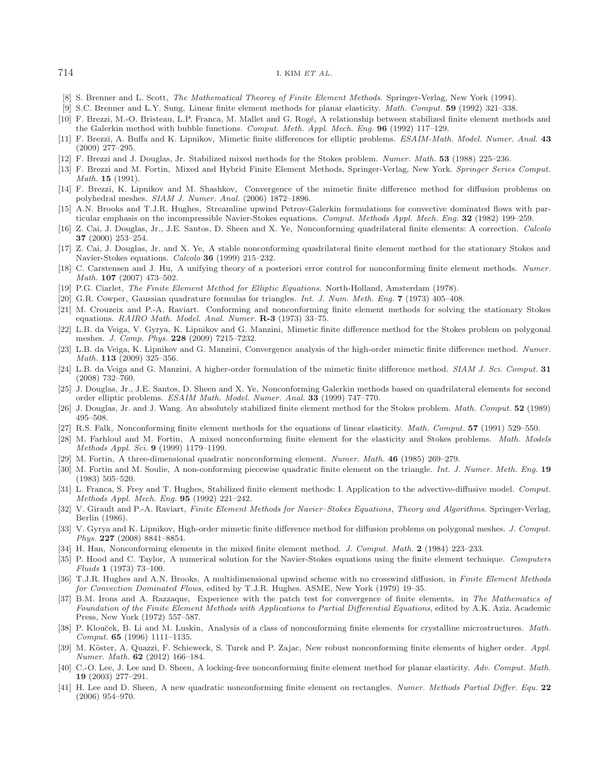#### 714 I. KIM *ET AL.*

- <span id="page-25-0"></span>[8] S. Brenner and L. Scott, The Mathematical Theorey of Finite Element Methods. Springer-Verlag, New York (1994).
- [9] S.C. Brenner and L.Y. Sung, Linear finite element methods for planar elasticity. Math. Comput. **59** (1992) 321–338.
- <span id="page-25-16"></span><span id="page-25-10"></span>[10] F. Brezzi, M.-O. Bristeau, L.P. Franca, M. Mallet and G. Rogé, A relationship between stabilized finite element methods and the Galerkin method with bubble functions. Comput. Meth. Appl. Mech. Eng. **96** (1992) 117–129.
- <span id="page-25-27"></span>[11] F. Brezzi, A. Buffa and K. Lipnikov, Mimetic finite differences for elliptic problems. ESAIM-Math. Model. Numer. Anal. **43** (2009) 277–295.
- <span id="page-25-5"></span>[12] F. Brezzi and J. Douglas, Jr. Stabilized mixed methods for the Stokes problem. Numer. Math. **53** (1988) 225–236.
- <span id="page-25-1"></span>[13] F. Brezzi and M. Fortin, Mixed and Hybrid Finite Element Methods, Springer-Verlag, New York. Springer Series Comput. Math. **15** (1991).
- <span id="page-25-28"></span>[14] F. Brezzi, K. Lipnikov and M. Shashkov, Convergence of the mimetic finite difference method for diffusion problems on polyhedral meshes. SIAM J. Numer. Anal. (2006) 1872–1896.
- <span id="page-25-6"></span>[15] A.N. Brooks and T.J.R. Hughes, Streamline upwind Petrov-Galerkin formulations for convective dominated flows with particular emphasis on the incompressible Navier-Stokes equations. Comput. Methods Appl. Mech. Eng. **32** (1982) 199–259.
- <span id="page-25-11"></span>[16] Z. Cai, J. Douglas, Jr., J.E. Santos, D. Sheen and X. Ye, Nonconforming quadrilateral finite elements: A correction. Calcolo **37** (2000) 253–254.
- <span id="page-25-12"></span>[17] Z. Cai, J. Douglas, Jr. and X. Ye, A stable nonconforming quadrilateral finite element method for the stationary Stokes and Navier-Stokes equations. Calcolo **36** (1999) 215–232.
- <span id="page-25-22"></span>[18] C. Carstensen and J. Hu, A unifying theory of a posteriori error control for nonconforming finite element methods. Numer. Math. **107** (2007) 473–502.
- <span id="page-25-2"></span>[19] P.G. Ciarlet, The Finite Element Method for Elliptic Equations. North-Holland, Amsterdam (1978).
- <span id="page-25-32"></span>[20] G.R. Cowper, Gaussian quadrature formulas for triangles. Int. J. Num. Meth. Eng. **7** (1973) 405–408.
- <span id="page-25-13"></span>[21] M. Crouzeix and P.-A. Raviart. Conforming and nonconforming finite element methods for solving the stationary Stokes equations. RAIRO Math. Model. Anal. Numer. **R-3** (1973) 33–75.
- <span id="page-25-29"></span>[22] L.B. da Veiga, V. Gyrya, K. Lipnikov and G. Manzini, Mimetic finite difference method for the Stokes problem on polygonal meshes. J. Comp. Phys. **228** (2009) 7215–7232.
- [23] L.B. da Veiga, K. Lipnikov and G. Manzini, Convergence analysis of the high-order mimetic finite difference method. Numer. Math. **113** (2009) 325–356.
- <span id="page-25-30"></span>[24] L.B. da Veiga and G. Manzini, A higher-order formulation of the mimetic finite difference method. SIAM J. Sci. Comput. **31** (2008) 732–760.
- <span id="page-25-21"></span>[25] J. Douglas, Jr., J.E. Santos, D. Sheen and X. Ye, Nonconforming Galerkin methods based on quadrilateral elements for second order elliptic problems. ESAIM Math. Model. Numer. Anal. **33** (1999) 747–770.
- <span id="page-25-7"></span>[26] J. Douglas, Jr. and J. Wang. An absolutely stabilized finite element method for the Stokes problem. Math. Comput. **52** (1989) 495–508.
- <span id="page-25-17"></span>[27] R.S. Falk, Nonconforming finite element methods for the equations of linear elasticity. Math. Comput. **57** (1991) 529–550.
- <span id="page-25-14"></span>[28] M. Farhloul and M. Fortin, A mixed nonconforming finite element for the elasticity and Stokes problems. Math. Models Methods Appl. Sci. **9** (1999) 1179–1199.
- <span id="page-25-24"></span>[29] M. Fortin, A three-dimensional quadratic nonconforming element. Numer. Math. **46** (1985) 269–279.
- <span id="page-25-15"></span>[30] M. Fortin and M. Soulie, A non-conforming piecewise quadratic finite element on the triangle. Int. J. Numer. Meth. Eng. **19** (1983) 505–520.
- <span id="page-25-8"></span>[31] L. Franca, S. Frey and T. Hughes, Stabilized finite element methods: I. Application to the advective-diffusive model. Comput. Methods Appl. Mech. Eng. **95** (1992) 221–242.
- <span id="page-25-3"></span>[32] V. Girault and P.-A. Raviart, Finite Element Methods for Navier–Stokes Equations, Theory and Algorithms. Springer-Verlag, Berlin (1986).
- <span id="page-25-31"></span>[33] V. Gyrya and K. Lipnikov, High-order mimetic finite difference method for diffusion problems on polygonal meshes. J. Comput. Phys. **227** (2008) 8841–8854.
- <span id="page-25-20"></span>[34] H. Han, Nonconforming elements in the mixed finite element method. J. Comput. Math. **2** (1984) 223–233.
- <span id="page-25-4"></span>[35] P. Hood and C. Taylor, A numerical solution for the Navier-Stokes equations using the finite element technique. Computers Fluids **1** (1973) 73–100.
- <span id="page-25-9"></span>[36] T.J.R. Hughes and A.N. Brooks, A multidimensional upwind scheme with no crosswind diffusion, in Finite Element Methods for Convection Dominated Flows, edited by T.J.R. Hughes. ASME, New York (1979) 19–35.
- <span id="page-25-23"></span>[37] B.M. Irons and A. Razzaque, Experience with the patch test for convergence of finite elements, in The Mathematics of Foundation of the Finite Element Methods with Applications to Partial Differential Equations, edited by A.K. Aziz. Academic Press, New York (1972) 557–587.
- <span id="page-25-18"></span>[38] P. Klouček, B. Li and M. Luskin, Analysis of a class of nonconforming finite elements for crystalline microstructures. Math. Comput. **65** (1996) 1111–1135.
- <span id="page-25-26"></span>[39] M. Köster, A. Quazzi, F. Schieweck, S. Turek and P. Zajac, New robust nonconforming finite elements of higher order. Appl. Numer. Math. **62** (2012) 166–184.
- <span id="page-25-19"></span>[40] C.-O. Lee, J. Lee and D. Sheen, A locking-free nonconforming finite element method for planar elasticity. Adv. Comput. Math. **19** (2003) 277–291.
- <span id="page-25-25"></span>[41] H. Lee and D. Sheen, A new quadratic nonconforming finite element on rectangles. Numer. Methods Partial Differ. Equ. **22** (2006) 954–970.